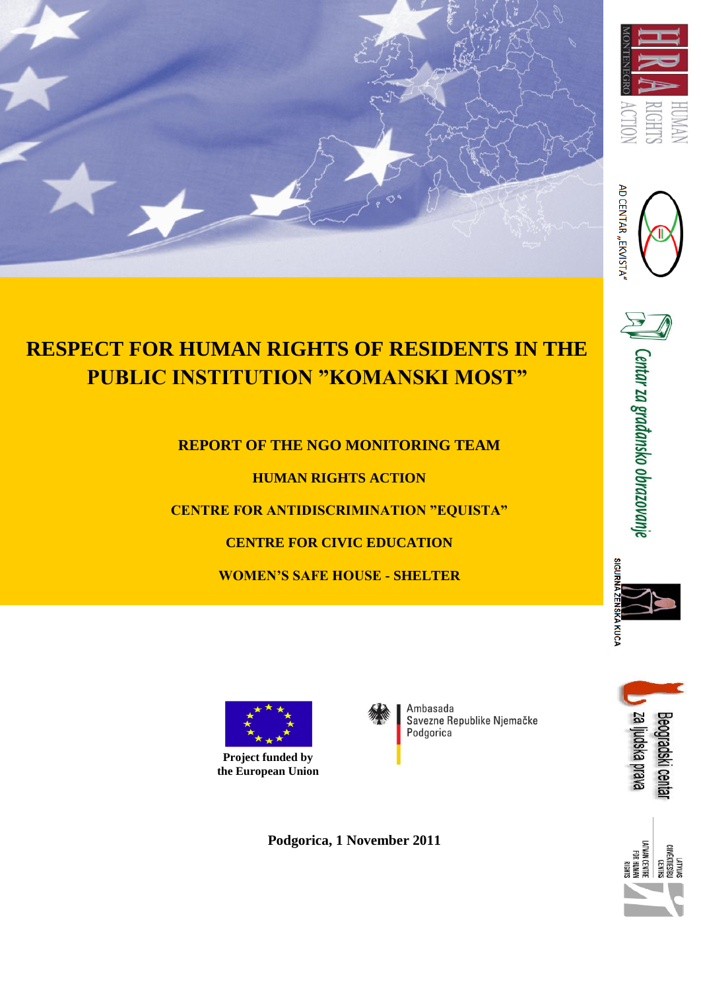





# **RESPECT FOR HUMAN RIGHTS OF RESIDENTS IN THE PUBLIC INSTITUTION "KOMANSKI MOST"**

**REPORT OF THE NGO MONITORING TEAM** 

**HUMAN RIGHTS ACTION**

**CENTRE FOR ANTIDISCRIMINATION "EQUISTA"**

**CENTRE FOR CIVIC EDUCATION** 

**WOMEN'S SAFE HOUSE - SHELTER**



 $\mathbb{P}$   $\parallel$  Centar za građansko obrazovanje





Ambasada Savezne Republike Njemačke Podgorica





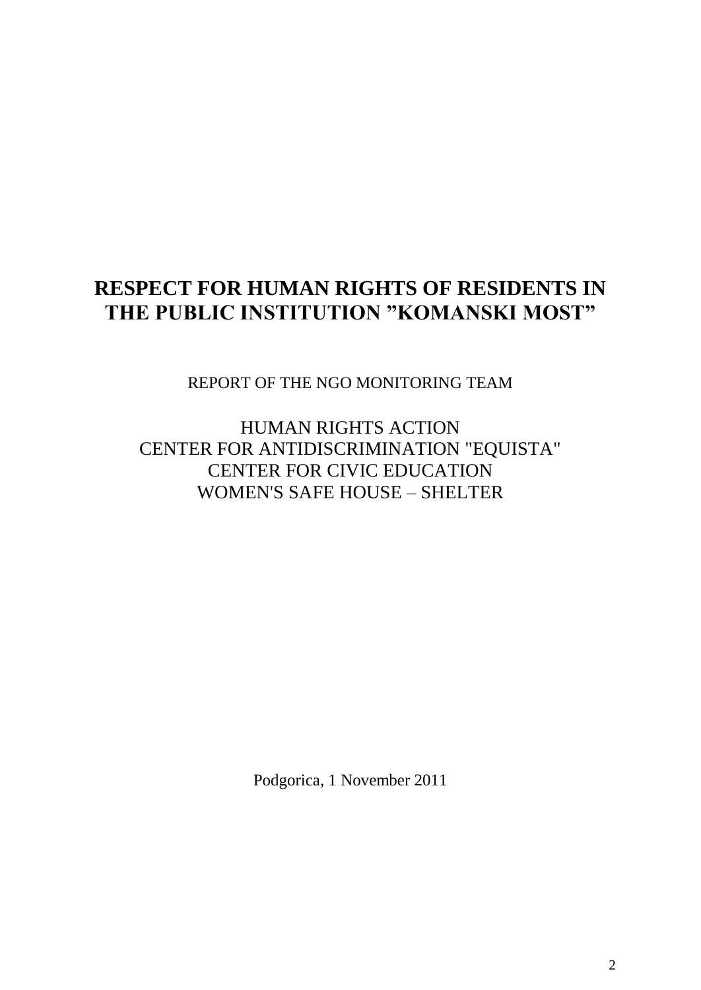## **RESPECT FOR HUMAN RIGHTS OF RESIDENTS IN THE PUBLIC INSTITUTION "KOMANSKI MOST"**

REPORT OF THE NGO MONITORING TEAM

HUMAN RIGHTS ACTION CENTER FOR ANTIDISCRIMINATION "EQUISTA" CENTER FOR CIVIC EDUCATION WOMEN'S SAFE HOUSE – SHELTER

Podgorica, 1 November 2011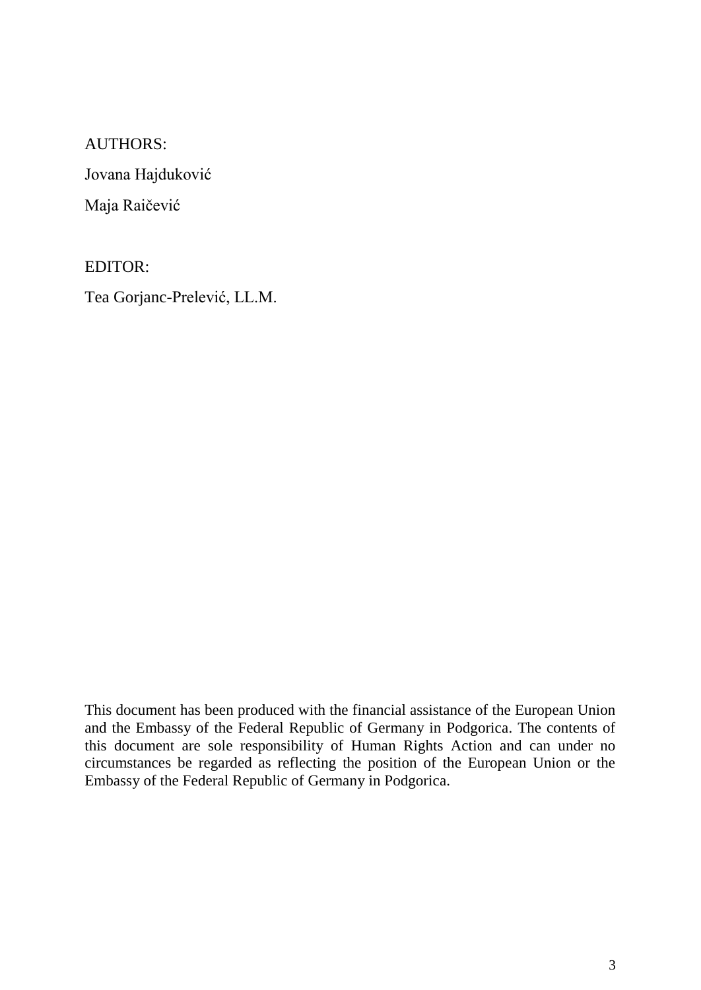## AUTHORS:

Jovana Hajduković

Maja Raičević

## EDITOR:

Tea Gorjanc-Prelević, LL.M.

This document has been produced with the financial assistance of the European Union and the Embassy of the Federal Republic of Germany in Podgorica. The contents of this document are sole responsibility of Human Rights Action and can under no circumstances be regarded as reflecting the position of the European Union or the Embassy of the Federal Republic of Germany in Podgorica.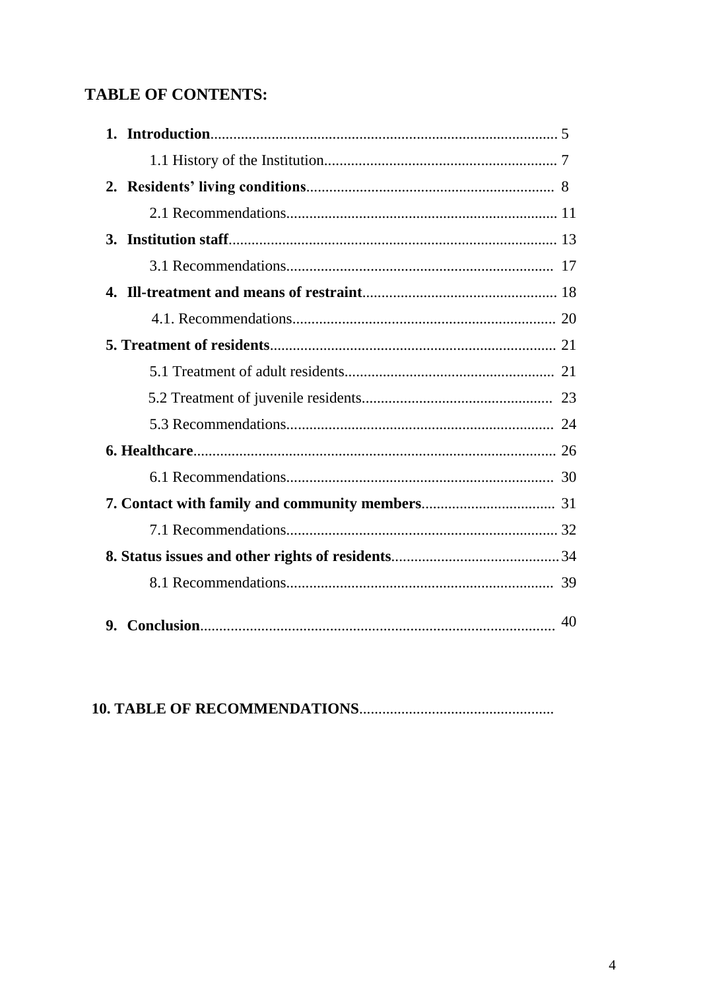## **TABLE OF CONTENTS:**

| 40 |
|----|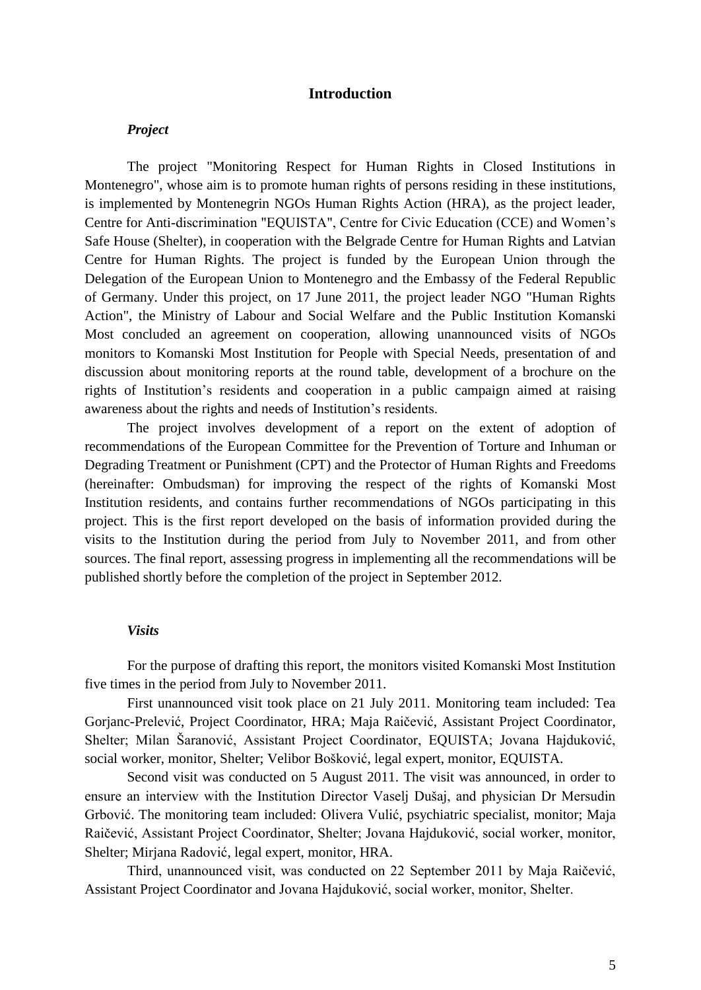#### **Introduction**

#### *Project*

The project "Monitoring Respect for Human Rights in Closed Institutions in Montenegro", whose aim is to promote human rights of persons residing in these institutions, is implemented by Montenegrin NGOs Human Rights Action (HRA), as the project leader, Centre for Anti-discrimination "EQUISTA", Centre for Civic Education (CCE) and Women's Safe House (Shelter), in cooperation with the Belgrade Centre for Human Rights and Latvian Centre for Human Rights. The project is funded by the European Union through the Delegation of the European Union to Montenegro and the Embassy of the Federal Republic of Germany. Under this project, on 17 June 2011, the project leader NGO "Human Rights Action", the Ministry of Labour and Social Welfare and the Public Institution Komanski Most concluded an agreement on cooperation, allowing unannounced visits of NGOs monitors to Komanski Most Institution for People with Special Needs, presentation of and discussion about monitoring reports at the round table, development of a brochure on the rights of Institution's residents and cooperation in a public campaign aimed at raising awareness about the rights and needs of Institution's residents.

The project involves development of a report on the extent of adoption of recommendations of the European Committee for the Prevention of Torture and Inhuman or Degrading Treatment or Punishment (CPT) and the Protector of Human Rights and Freedoms (hereinafter: Ombudsman) for improving the respect of the rights of Komanski Most Institution residents, and contains further recommendations of NGOs participating in this project. This is the first report developed on the basis of information provided during the visits to the Institution during the period from July to November 2011, and from other sources. The final report, assessing progress in implementing all the recommendations will be published shortly before the completion of the project in September 2012.

#### *Visits*

For the purpose of drafting this report, the monitors visited Komanski Most Institution five times in the period from July to November 2011.

First unannounced visit took place on 21 July 2011. Monitoring team included: Tea Gorjanc-Prelević, Project Coordinator, HRA; Maja Raičević, Assistant Project Coordinator, Shelter; Milan Šaranović, Assistant Project Coordinator, EQUISTA; Jovana Hajduković, social worker, monitor, Shelter; Velibor Bošković, legal expert, monitor, EQUISTA.

Second visit was conducted on 5 August 2011. The visit was announced, in order to ensure an interview with the Institution Director Vaselj Dušaj, and physician Dr Mersudin Grbović. The monitoring team included: Olivera Vulić, psychiatric specialist, monitor; Maja Raičević, Assistant Project Coordinator, Shelter; Jovana Hajduković, social worker, monitor, Shelter; Mirjana Radović, legal expert, monitor, HRA.

Third, unannounced visit, was conducted on 22 September 2011 by Maja Raičević, Assistant Project Coordinator and Jovana Hajduković, social worker, monitor, Shelter.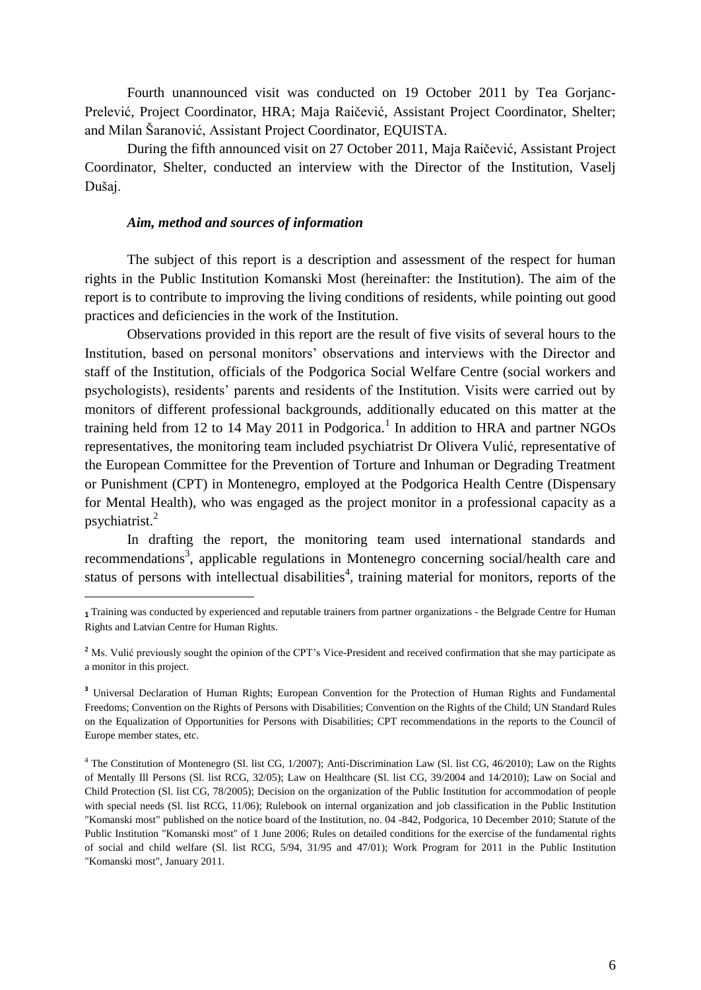Fourth unannounced visit was conducted on 19 October 2011 by Tea Gorjanc-Prelević, Project Coordinator, HRA; Maja Raičević, Assistant Project Coordinator, Shelter; and Milan Šaranović, Assistant Project Coordinator, EQUISTA.

During the fifth announced visit on 27 October 2011, Maja Raičević, Assistant Project Coordinator, Shelter, conducted an interview with the Director of the Institution, Vaselj Dušaj.

#### *Aim, method and sources of information*

**.** 

The subject of this report is a description and assessment of the respect for human rights in the Public Institution Komanski Most (hereinafter: the Institution). The aim of the report is to contribute to improving the living conditions of residents, while pointing out good practices and deficiencies in the work of the Institution.

Observations provided in this report are the result of five visits of several hours to the Institution, based on personal monitors' observations and interviews with the Director and staff of the Institution, officials of the Podgorica Social Welfare Centre (social workers and psychologists), residents' parents and residents of the Institution. Visits were carried out by monitors of different professional backgrounds, additionally educated on this matter at the training held from 12 to 14 May 2011 in Podgorica.<sup>1</sup> In addition to HRA and partner NGOs representatives, the monitoring team included psychiatrist Dr Olivera Vulić, representative of the European Committee for the Prevention of Torture and Inhuman or Degrading Treatment or Punishment (CPT) in Montenegro, employed at the Podgorica Health Centre (Dispensary for Mental Health), who was engaged as the project monitor in a professional capacity as a psychiatrist.<sup>2</sup>

In drafting the report, the monitoring team used international standards and recommendations<sup>3</sup>, applicable regulations in Montenegro concerning social/health care and status of persons with intellectual disabilities<sup>4</sup>, training material for monitors, reports of the

**<sup>1</sup>** Training was conducted by experienced and reputable trainers from partner organizations - the Belgrade Centre for Human Rights and Latvian Centre for Human Rights.

<sup>&</sup>lt;sup>2</sup> Ms. Vulić previously sought the opinion of the CPT's Vice-President and received confirmation that she may participate as a monitor in this project.

**<sup>3</sup>** Universal Declaration of Human Rights; European Convention for the Protection of Human Rights and Fundamental Freedoms; Convention on the Rights of Persons with Disabilities; Convention on the Rights of the Child; UN Standard Rules on the Equalization of Opportunities for Persons with Disabilities; CPT recommendations in the reports to the Council of Europe member states, etc.

<sup>4</sup> The Constitution of Montenegro (Sl. list CG, 1/2007); Anti-Discrimination Law (Sl. list CG, 46/2010); Law on the Rights of Mentally Ill Persons (Sl. list RCG, 32/05); Law on Healthcare (Sl. list CG, 39/2004 and 14/2010); Law on Social and Child Protection (Sl. list CG, 78/2005); Decision on the organization of the Public Institution for accommodation of people with special needs (Sl. list RCG, 11/06); Rulebook on internal organization and job classification in the Public Institution "Komanski most" published on the notice board of the Institution, no. 04 -842, Podgorica, 10 December 2010; Statute of the Public Institution "Komanski most" of 1 June 2006; Rules on detailed conditions for the exercise of the fundamental rights of social and child welfare (Sl. list RCG, 5/94, 31/95 and 47/01); Work Program for 2011 in the Public Institution "Komanski most", January 2011.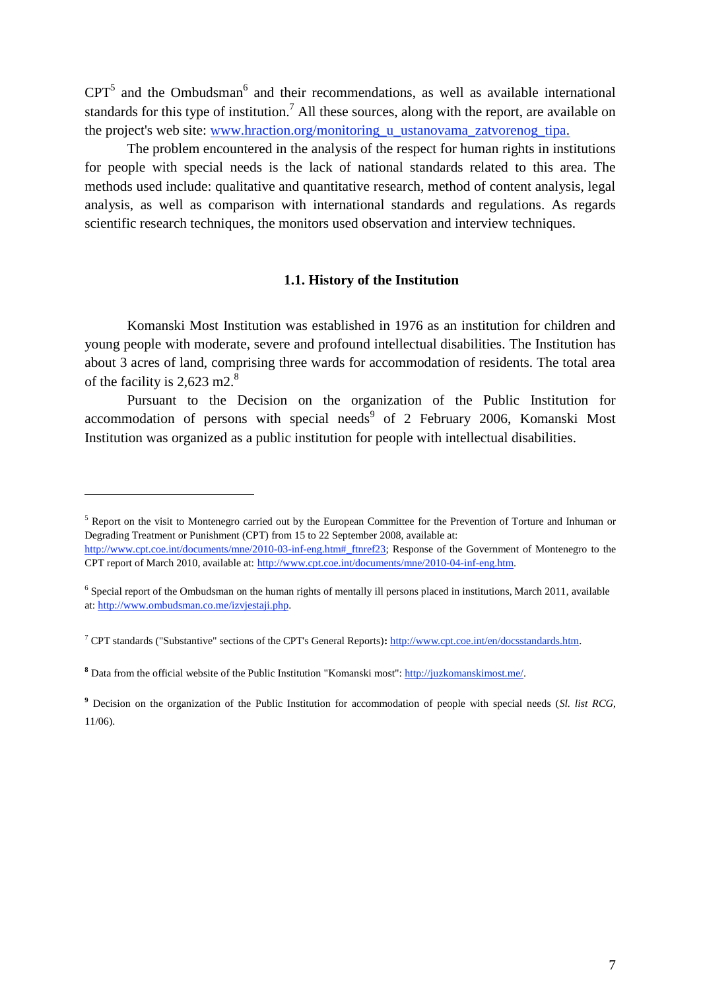$CPT<sup>5</sup>$  and the Ombudsman<sup>6</sup> and their recommendations, as well as available international standards for this type of institution.<sup>7</sup> All these sources, along with the report, are available on the project's web site: [www.hraction.org/monitoring\\_u\\_ustanovama\\_zatvorenog\\_tipa.](http://www.hraction.org/monitoring_u_ustanovama_zatvorenog_tipa)

The problem encountered in the analysis of the respect for human rights in institutions for people with special needs is the lack of national standards related to this area. The methods used include: qualitative and quantitative research, method of content analysis, legal analysis, as well as comparison with international standards and regulations. As regards scientific research techniques, the monitors used observation and interview techniques.

#### **1.1. History of the Institution**

Komanski Most Institution was established in 1976 as an institution for children and young people with moderate, severe and profound intellectual disabilities. The Institution has about 3 acres of land, comprising three wards for accommodation of residents. The total area of the facility is  $2,623 \text{ m2}$ .<sup>8</sup>

Pursuant to the Decision on the organization of the Public Institution for accommodation of persons with special needs<sup>9</sup> of 2 February 2006, Komanski Most Institution was organized as a public institution for people with intellectual disabilities.

<sup>&</sup>lt;sup>5</sup> Report on the visit to Montenegro carried out by the European Committee for the Prevention of Torture and Inhuman or Degrading Treatment or Punishment (CPT) from 15 to 22 September 2008, available at: [http://www.cpt.coe.int/documents/mne/2010-03-inf-eng.htm#\\_ftnref23;](http://www.cpt.coe.int/documents/mne/2010-03-inf-eng.htm#_ftnref23) Response of the Government of Montenegro to the CPT report of March 2010, available at: [http://www.cpt.coe.int/documents/mne/2010-04-inf-eng.htm.](http://www.cpt.coe.int/documents/mne/2010-04-inf-eng.htm) 

<sup>&</sup>lt;sup>6</sup> Special report of the Ombudsman on the human rights of mentally ill persons placed in institutions, March 2011, available at: [http://www.ombudsman.co.me/izvjestaji.php.](http://www.ombudsman.co.me/izvjestaji.php)

<sup>7</sup> CPT standards ("Substantive" sections of the CPT's General Reports)**:** <http://www.cpt.coe.int/en/docsstandards.htm>.

**<sup>8</sup>** Data from the official website of the Public Institution "Komanski most": [http://juzkomanskimost.me/.](http://juzkomanskimost.me/)

**<sup>9</sup>** Decision on the organization of the Public Institution for accommodation of people with special needs (*Sl. list RCG*, 11/06).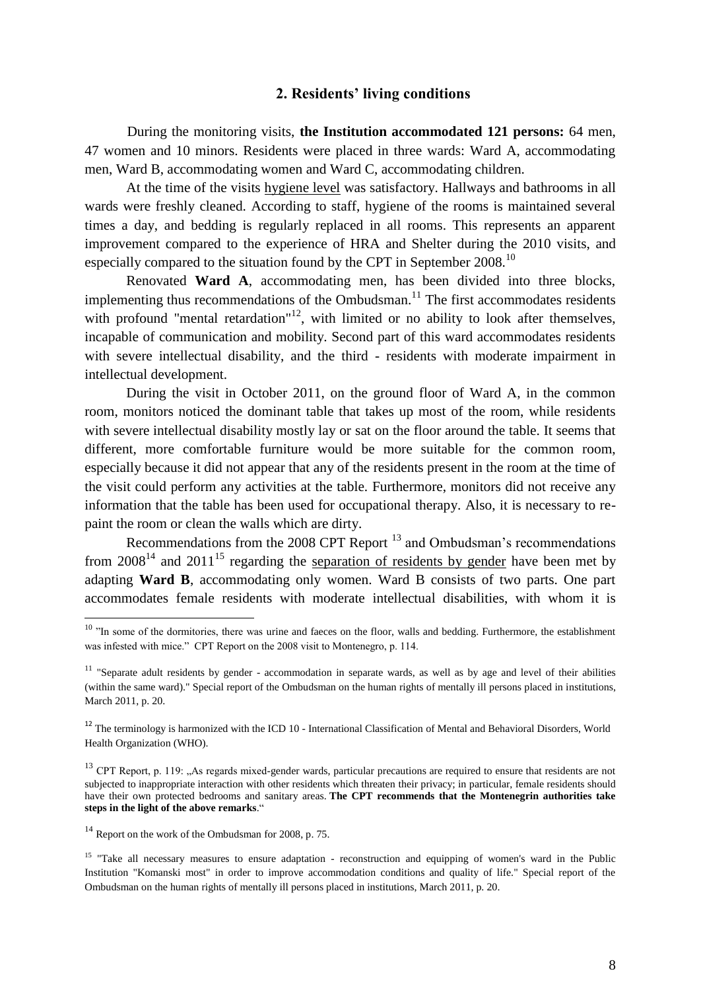#### **2. Residents' living conditions**

During the monitoring visits, **the Institution accommodated 121 persons:** 64 men, 47 women and 10 minors. Residents were placed in three wards: Ward A, accommodating men, Ward B, accommodating women and Ward C, accommodating children.

At the time of the visits hygiene level was satisfactory. Hallways and bathrooms in all wards were freshly cleaned. According to staff, hygiene of the rooms is maintained several times a day, and bedding is regularly replaced in all rooms. This represents an apparent improvement compared to the experience of HRA and Shelter during the 2010 visits, and especially compared to the situation found by the CPT in September 2008.<sup>10</sup>

Renovated **Ward A**, accommodating men, has been divided into three blocks, implementing thus recommendations of the Ombudsman.<sup>11</sup> The first accommodates residents with profound "mental retardation"<sup>12</sup>, with limited or no ability to look after themselves, incapable of communication and mobility. Second part of this ward accommodates residents with severe intellectual disability, and the third - residents with moderate impairment in intellectual development.

During the visit in October 2011, on the ground floor of Ward A, in the common room, monitors noticed the dominant table that takes up most of the room, while residents with severe intellectual disability mostly lay or sat on the floor around the table. It seems that different, more comfortable furniture would be more suitable for the common room, especially because it did not appear that any of the residents present in the room at the time of the visit could perform any activities at the table. Furthermore, monitors did not receive any information that the table has been used for occupational therapy. Also, it is necessary to repaint the room or clean the walls which are dirty.

Recommendations from the 2008 CPT Report  $^{13}$  and Ombudsman's recommendations from  $2008^{14}$  and  $2011^{15}$  regarding the separation of residents by gender have been met by adapting **Ward B**, accommodating only women. Ward B consists of two parts. One part accommodates female residents with moderate intellectual disabilities, with whom it is

<sup>&</sup>lt;sup>10</sup> "In some of the dormitories, there was urine and faeces on the floor, walls and bedding. Furthermore, the establishment was infested with mice." CPT Report on the 2008 visit to Montenegro, p. 114.

 $11$  "Separate adult residents by gender - accommodation in separate wards, as well as by age and level of their abilities (within the same ward)." Special report of the Ombudsman on the human rights of mentally ill persons placed in institutions, March 2011, p. 20.

 $12$  The terminology is harmonized with the ICD 10 - International Classification of Mental and Behavioral Disorders, World Health Organization (WHO).

 $13$  CPT Report, p. 119: "As regards mixed-gender wards, particular precautions are required to ensure that residents are not subjected to inappropriate interaction with other residents which threaten their privacy; in particular, female residents should have their own protected bedrooms and sanitary areas. **The CPT recommends that the Montenegrin authorities take steps in the light of the above remarks**."

 $14$  Report on the work of the Ombudsman for 2008, p. 75.

<sup>&</sup>lt;sup>15</sup> "Take all necessary measures to ensure adaptation - reconstruction and equipping of women's ward in the Public Institution "Komanski most" in order to improve accommodation conditions and quality of life." Special report of the Ombudsman on the human rights of mentally ill persons placed in institutions, March 2011, p. 20.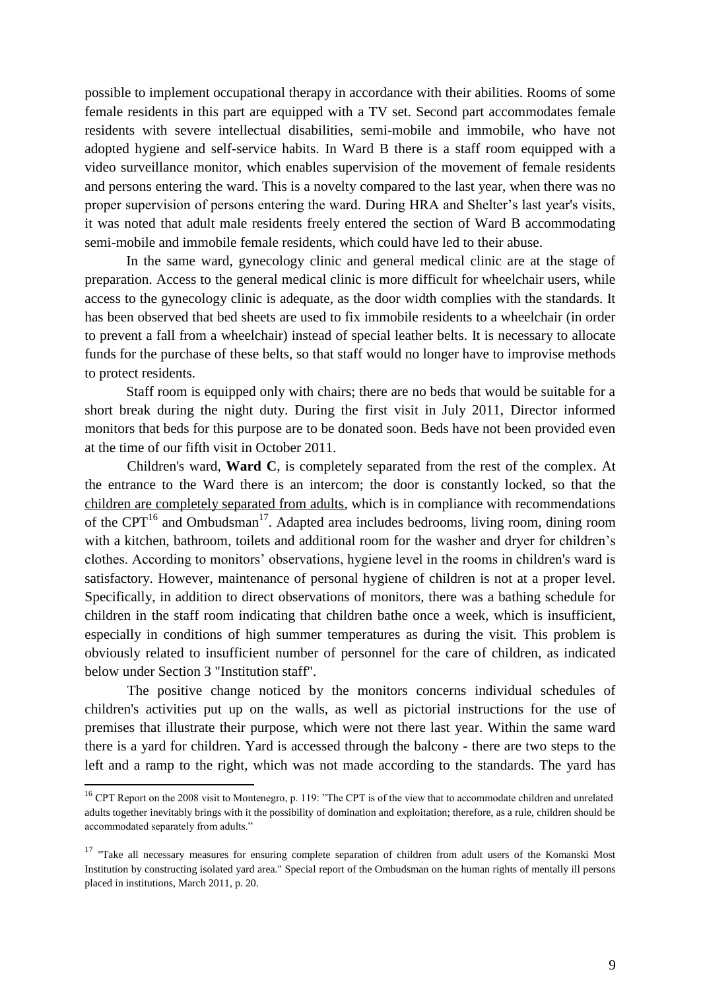possible to implement occupational therapy in accordance with their abilities. Rooms of some female residents in this part are equipped with a TV set. Second part accommodates female residents with severe intellectual disabilities, semi-mobile and immobile, who have not adopted hygiene and self-service habits. In Ward B there is a staff room equipped with a video surveillance monitor, which enables supervision of the movement of female residents and persons entering the ward. This is a novelty compared to the last year, when there was no proper supervision of persons entering the ward. During HRA and Shelter's last year's visits, it was noted that adult male residents freely entered the section of Ward B accommodating semi-mobile and immobile female residents, which could have led to their abuse.

In the same ward, gynecology clinic and general medical clinic are at the stage of preparation. Access to the general medical clinic is more difficult for wheelchair users, while access to the gynecology clinic is adequate, as the door width complies with the standards. It has been observed that bed sheets are used to fix immobile residents to a wheelchair (in order to prevent a fall from a wheelchair) instead of special leather belts. It is necessary to allocate funds for the purchase of these belts, so that staff would no longer have to improvise methods to protect residents.

Staff room is equipped only with chairs; there are no beds that would be suitable for a short break during the night duty. During the first visit in July 2011, Director informed monitors that beds for this purpose are to be donated soon. Beds have not been provided even at the time of our fifth visit in October 2011.

Children's ward, **Ward C**, is completely separated from the rest of the complex. At the entrance to the Ward there is an intercom; the door is constantly locked, so that the children are completely separated from adults, which is in compliance with recommendations of the CPT<sup>16</sup> and Ombudsman<sup>17</sup>. Adapted area includes bedrooms, living room, dining room with a kitchen, bathroom, toilets and additional room for the washer and dryer for children's clothes. According to monitors' observations, hygiene level in the rooms in children's ward is satisfactory. However, maintenance of personal hygiene of children is not at a proper level. Specifically, in addition to direct observations of monitors, there was a bathing schedule for children in the staff room indicating that children bathe once a week, which is insufficient, especially in conditions of high summer temperatures as during the visit. This problem is obviously related to insufficient number of personnel for the care of children, as indicated below under Section 3 "Institution staff".

The positive change noticed by the monitors concerns individual schedules of children's activities put up on the walls, as well as pictorial instructions for the use of premises that illustrate their purpose, which were not there last year. Within the same ward there is a yard for children. Yard is accessed through the balcony - there are two steps to the left and a ramp to the right, which was not made according to the standards. The yard has

<sup>&</sup>lt;sup>16</sup> CPT Report on the 2008 visit to Montenegro, p. 119: "The CPT is of the view that to accommodate children and unrelated adults together inevitably brings with it the possibility of domination and exploitation; therefore, as a rule, children should be accommodated separately from adults."

<sup>&</sup>lt;sup>17</sup> "Take all necessary measures for ensuring complete separation of children from adult users of the Komanski Most Institution by constructing isolated yard area." Special report of the Ombudsman on the human rights of mentally ill persons placed in institutions, March 2011, p. 20.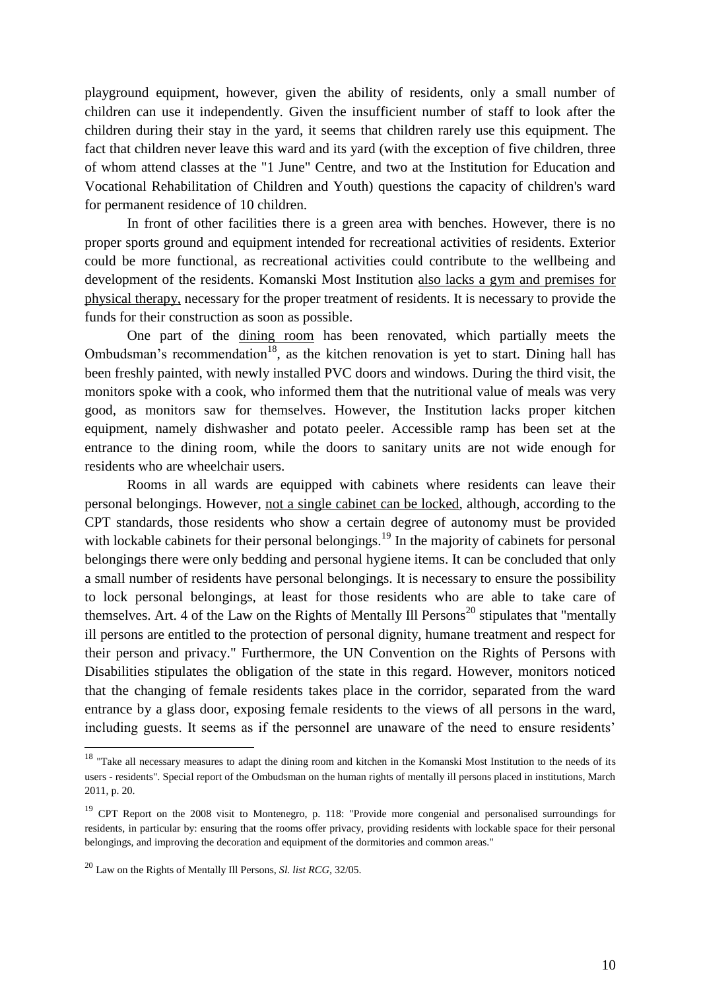playground equipment, however, given the ability of residents, only a small number of children can use it independently. Given the insufficient number of staff to look after the children during their stay in the yard, it seems that children rarely use this equipment. The fact that children never leave this ward and its yard (with the exception of five children, three of whom attend classes at the "1 June" Centre, and two at the Institution for Education and Vocational Rehabilitation of Children and Youth) questions the capacity of children's ward for permanent residence of 10 children.

In front of other facilities there is a green area with benches. However, there is no proper sports ground and equipment intended for recreational activities of residents. Exterior could be more functional, as recreational activities could contribute to the wellbeing and development of the residents. Komanski Most Institution also lacks a gym and premises for physical therapy, necessary for the proper treatment of residents. It is necessary to provide the funds for their construction as soon as possible.

One part of the dining room has been renovated, which partially meets the Ombudsman's recommendation<sup>18</sup>, as the kitchen renovation is yet to start. Dining hall has been freshly painted, with newly installed PVC doors and windows. During the third visit, the monitors spoke with a cook, who informed them that the nutritional value of meals was very good, as monitors saw for themselves. However, the Institution lacks proper kitchen equipment, namely dishwasher and potato peeler. Accessible ramp has been set at the entrance to the dining room, while the doors to sanitary units are not wide enough for residents who are wheelchair users.

Rooms in all wards are equipped with cabinets where residents can leave their personal belongings. However, not a single cabinet can be locked, although, according to the CPT standards, those residents who show a certain degree of autonomy must be provided with lockable cabinets for their personal belongings.<sup>19</sup> In the majority of cabinets for personal belongings there were only bedding and personal hygiene items. It can be concluded that only a small number of residents have personal belongings. It is necessary to ensure the possibility to lock personal belongings, at least for those residents who are able to take care of themselves. Art. 4 of the Law on the Rights of Mentally Ill Persons<sup>20</sup> stipulates that "mentally ill persons are entitled to the protection of personal dignity, humane treatment and respect for their person and privacy." Furthermore, the UN Convention on the Rights of Persons with Disabilities stipulates the obligation of the state in this regard. However, monitors noticed that the changing of female residents takes place in the corridor, separated from the ward entrance by a glass door, exposing female residents to the views of all persons in the ward, including guests. It seems as if the personnel are unaware of the need to ensure residents'

 $18$  "Take all necessary measures to adapt the dining room and kitchen in the Komanski Most Institution to the needs of its users - residents". Special report of the Ombudsman on the human rights of mentally ill persons placed in institutions, March 2011, p. 20.

<sup>&</sup>lt;sup>19</sup> CPT Report on the 2008 visit to Montenegro, p. 118: "Provide more congenial and personalised surroundings for residents, in particular by: ensuring that the rooms offer privacy, providing residents with lockable space for their personal belongings, and improving the decoration and equipment of the dormitories and common areas."

<sup>20</sup> Law on the Rights of Mentally Ill Persons, *Sl. list RCG,* 32/05.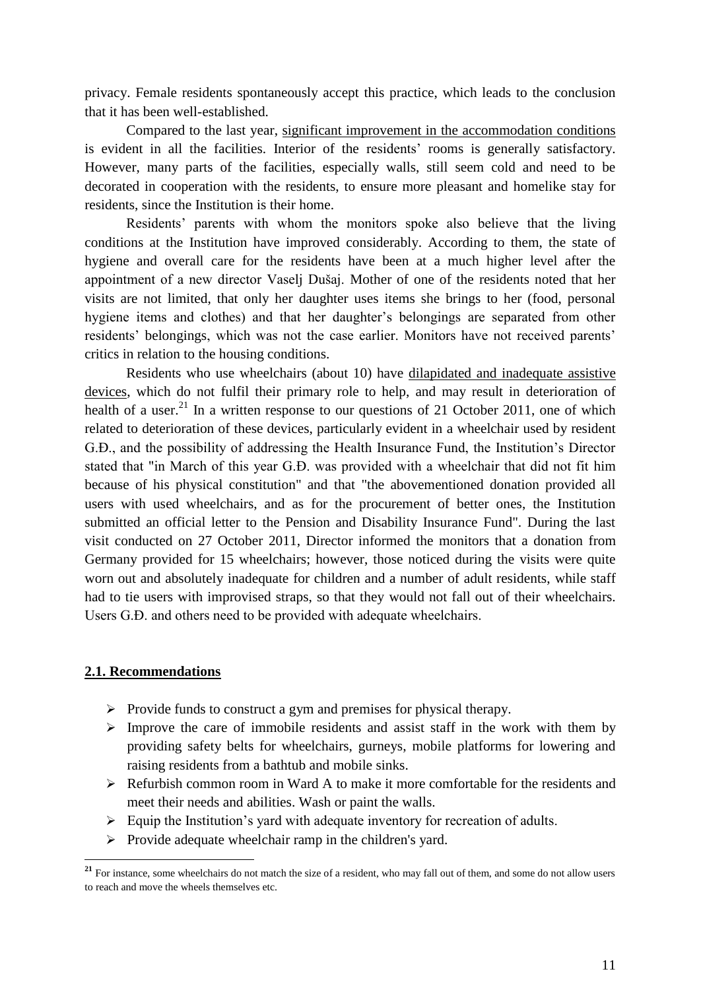privacy. Female residents spontaneously accept this practice, which leads to the conclusion that it has been well-established.

Compared to the last year, significant improvement in the accommodation conditions is evident in all the facilities. Interior of the residents' rooms is generally satisfactory. However, many parts of the facilities, especially walls, still seem cold and need to be decorated in cooperation with the residents, to ensure more pleasant and homelike stay for residents, since the Institution is their home.

Residents' parents with whom the monitors spoke also believe that the living conditions at the Institution have improved considerably. According to them, the state of hygiene and overall care for the residents have been at a much higher level after the appointment of a new director Vaselj Dušaj. Mother of one of the residents noted that her visits are not limited, that only her daughter uses items she brings to her (food, personal hygiene items and clothes) and that her daughter's belongings are separated from other residents' belongings, which was not the case earlier. Monitors have not received parents' critics in relation to the housing conditions.

Residents who use wheelchairs (about 10) have dilapidated and inadequate assistive devices, which do not fulfil their primary role to help, and may result in deterioration of health of a user.<sup>21</sup> In a written response to our questions of 21 October 2011, one of which related to deterioration of these devices, particularly evident in a wheelchair used by resident G.Đ., and the possibility of addressing the Health Insurance Fund, the Institution's Director stated that "in March of this year G.Đ. was provided with a wheelchair that did not fit him because of his physical constitution" and that "the abovementioned donation provided all users with used wheelchairs, and as for the procurement of better ones, the Institution submitted an official letter to the Pension and Disability Insurance Fund". During the last visit conducted on 27 October 2011, Director informed the monitors that a donation from Germany provided for 15 wheelchairs; however, those noticed during the visits were quite worn out and absolutely inadequate for children and a number of adult residents, while staff had to tie users with improvised straps, so that they would not fall out of their wheelchairs. Users G.Đ. and others need to be provided with adequate wheelchairs.

#### **2.1. Recommendations**

- $\triangleright$  Provide funds to construct a gym and premises for physical therapy.
- $\triangleright$  Improve the care of immobile residents and assist staff in the work with them by providing safety belts for wheelchairs, gurneys, mobile platforms for lowering and raising residents from a bathtub and mobile sinks.
- $\triangleright$  Refurbish common room in Ward A to make it more comfortable for the residents and meet their needs and abilities. Wash or paint the walls.
- $\triangleright$  Equip the Institution's yard with adequate inventory for recreation of adults.
- $\triangleright$  Provide adequate wheelchair ramp in the children's yard.

<sup>&</sup>lt;sup>21</sup> For instance, some wheelchairs do not match the size of a resident, who may fall out of them, and some do not allow users to reach and move the wheels themselves etc.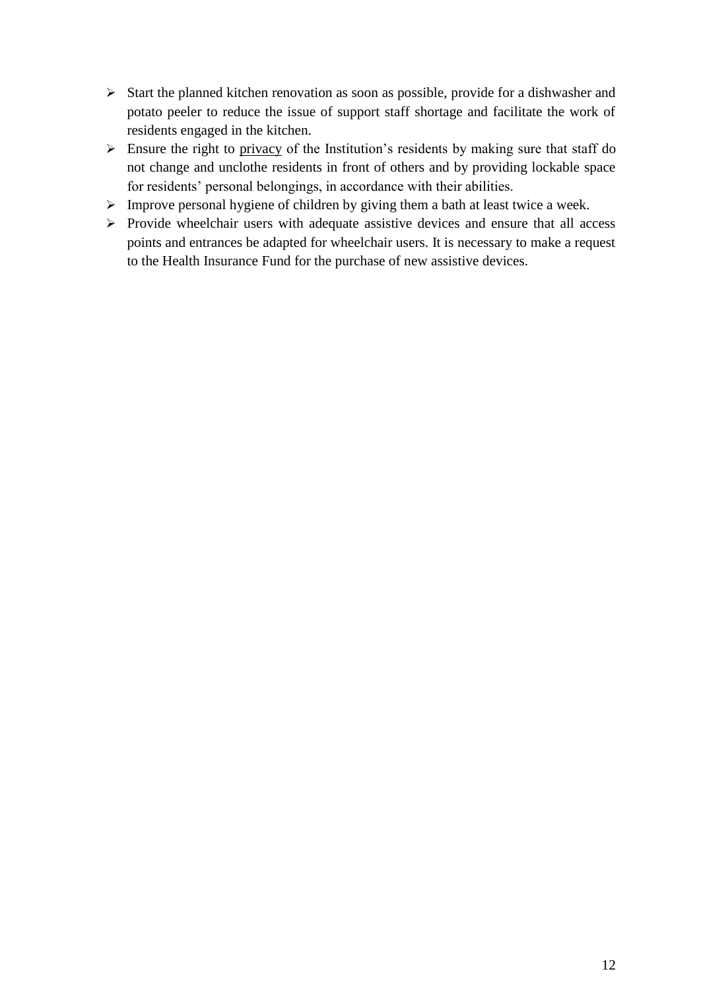- $\triangleright$  Start the planned kitchen renovation as soon as possible, provide for a dishwasher and potato peeler to reduce the issue of support staff shortage and facilitate the work of residents engaged in the kitchen.
- $\triangleright$  Ensure the right to privacy of the Institution's residents by making sure that staff do not change and unclothe residents in front of others and by providing lockable space for residents' personal belongings, in accordance with their abilities.
- $\triangleright$  Improve personal hygiene of children by giving them a bath at least twice a week.
- $\triangleright$  Provide wheelchair users with adequate assistive devices and ensure that all access points and entrances be adapted for wheelchair users. It is necessary to make a request to the Health Insurance Fund for the purchase of new assistive devices.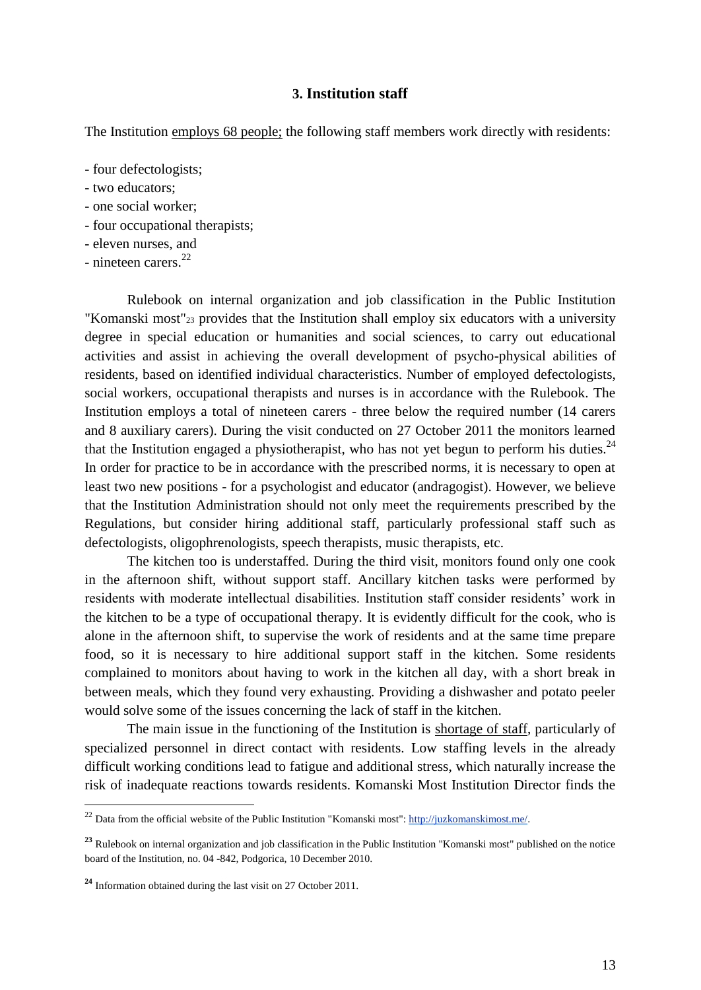#### **3. Institution staff**

The Institution employs 68 people; the following staff members work directly with residents:

- four defectologists;
- two educators;
- one social worker;
- four occupational therapists;
- eleven nurses, and
- nineteen carers. $^{22}$

Rulebook on internal organization and job classification in the Public Institution "Komanski most"<sup>23</sup> provides that the Institution shall employ six educators with a university degree in special education or humanities and social sciences, to carry out educational activities and assist in achieving the overall development of psycho-physical abilities of residents, based on identified individual characteristics. Number of employed defectologists, social workers, occupational therapists and nurses is in accordance with the Rulebook. The Institution employs a total of nineteen carers - three below the required number (14 carers and 8 auxiliary carers). During the visit conducted on 27 October 2011 the monitors learned that the Institution engaged a physiotherapist, who has not yet begun to perform his duties.<sup>24</sup> In order for practice to be in accordance with the prescribed norms, it is necessary to open at least two new positions - for a psychologist and educator (andragogist). However, we believe that the Institution Administration should not only meet the requirements prescribed by the Regulations, but consider hiring additional staff, particularly professional staff such as defectologists, oligophrenologists, speech therapists, music therapists, etc.

The kitchen too is understaffed. During the third visit, monitors found only one cook in the afternoon shift, without support staff. Ancillary kitchen tasks were performed by residents with moderate intellectual disabilities. Institution staff consider residents' work in the kitchen to be a type of occupational therapy. It is evidently difficult for the cook, who is alone in the afternoon shift, to supervise the work of residents and at the same time prepare food, so it is necessary to hire additional support staff in the kitchen. Some residents complained to monitors about having to work in the kitchen all day, with a short break in between meals, which they found very exhausting. Providing a dishwasher and potato peeler would solve some of the issues concerning the lack of staff in the kitchen.

The main issue in the functioning of the Institution is shortage of staff, particularly of specialized personnel in direct contact with residents. Low staffing levels in the already difficult working conditions lead to fatigue and additional stress, which naturally increase the risk of inadequate reactions towards residents. Komanski Most Institution Director finds the

<sup>&</sup>lt;sup>22</sup> Data from the official website of the Public Institution "Komanski most"[: http://juzkomanskimost.me/](http://juzkomanskimost.me/).

**<sup>23</sup>** Rulebook on internal organization and job classification in the Public Institution "Komanski most" published on the notice board of the Institution, no. 04 -842, Podgorica, 10 December 2010.

**<sup>24</sup>** Information obtained during the last visit on 27 October 2011.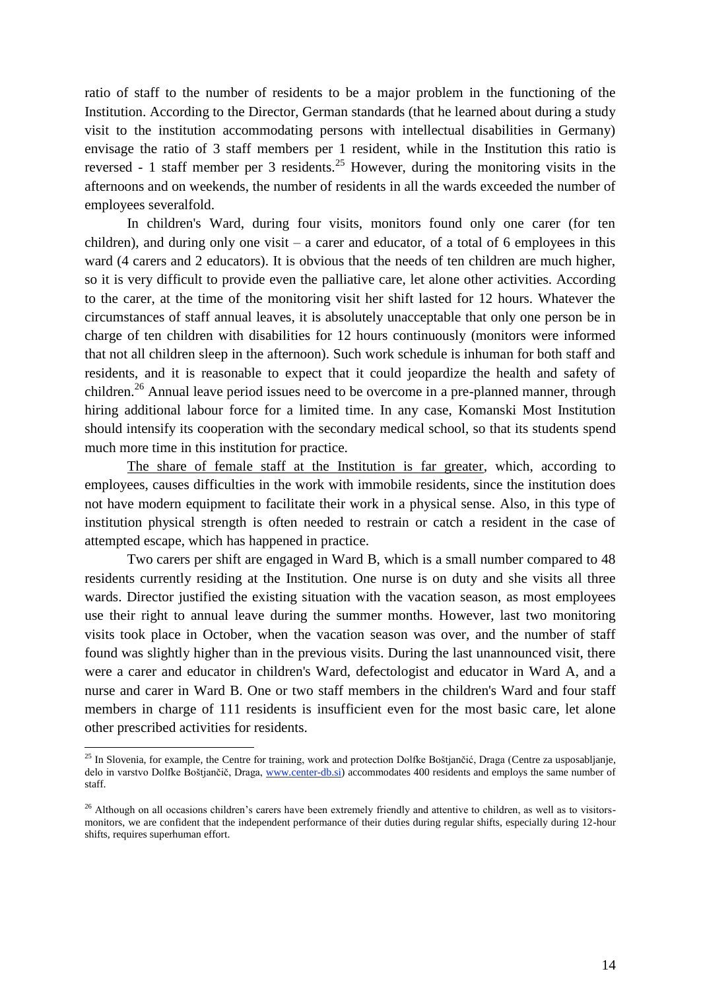ratio of staff to the number of residents to be a major problem in the functioning of the Institution. According to the Director, German standards (that he learned about during a study visit to the institution accommodating persons with intellectual disabilities in Germany) envisage the ratio of 3 staff members per 1 resident, while in the Institution this ratio is reversed - 1 staff member per 3 residents.<sup>25</sup> However, during the monitoring visits in the afternoons and on weekends, the number of residents in all the wards exceeded the number of employees severalfold.

In children's Ward, during four visits, monitors found only one carer (for ten children), and during only one visit – a carer and educator, of a total of 6 employees in this ward (4 carers and 2 educators). It is obvious that the needs of ten children are much higher, so it is very difficult to provide even the palliative care, let alone other activities. According to the carer, at the time of the monitoring visit her shift lasted for 12 hours. Whatever the circumstances of staff annual leaves, it is absolutely unacceptable that only one person be in charge of ten children with disabilities for 12 hours continuously (monitors were informed that not all children sleep in the afternoon). Such work schedule is inhuman for both staff and residents, and it is reasonable to expect that it could jeopardize the health and safety of children.<sup>26</sup> Annual leave period issues need to be overcome in a pre-planned manner, through hiring additional labour force for a limited time. In any case, Komanski Most Institution should intensify its cooperation with the secondary medical school, so that its students spend much more time in this institution for practice.

The share of female staff at the Institution is far greater, which, according to employees, causes difficulties in the work with immobile residents, since the institution does not have modern equipment to facilitate their work in a physical sense. Also, in this type of institution physical strength is often needed to restrain or catch a resident in the case of attempted escape, which has happened in practice.

Two carers per shift are engaged in Ward B, which is a small number compared to 48 residents currently residing at the Institution. One nurse is on duty and she visits all three wards. Director justified the existing situation with the vacation season, as most employees use their right to annual leave during the summer months. However, last two monitoring visits took place in October, when the vacation season was over, and the number of staff found was slightly higher than in the previous visits. During the last unannounced visit, there were a carer and educator in children's Ward, defectologist and educator in Ward A, and a nurse and carer in Ward B. One or two staff members in the children's Ward and four staff members in charge of 111 residents is insufficient even for the most basic care, let alone other prescribed activities for residents.

<sup>&</sup>lt;sup>25</sup> In Slovenia, for example, the Centre for training, work and protection Dolfke Boštjančić, Draga (Centre za usposabljanje, delo in varstvo Dolfke Boštjančič, Draga, [www.center-db.si\)](http://www.center-db.si/) accommodates 400 residents and employs the same number of staff.

<sup>&</sup>lt;sup>26</sup> Although on all occasions children's carers have been extremely friendly and attentive to children, as well as to visitorsmonitors, we are confident that the independent performance of their duties during regular shifts, especially during 12-hour shifts, requires superhuman effort.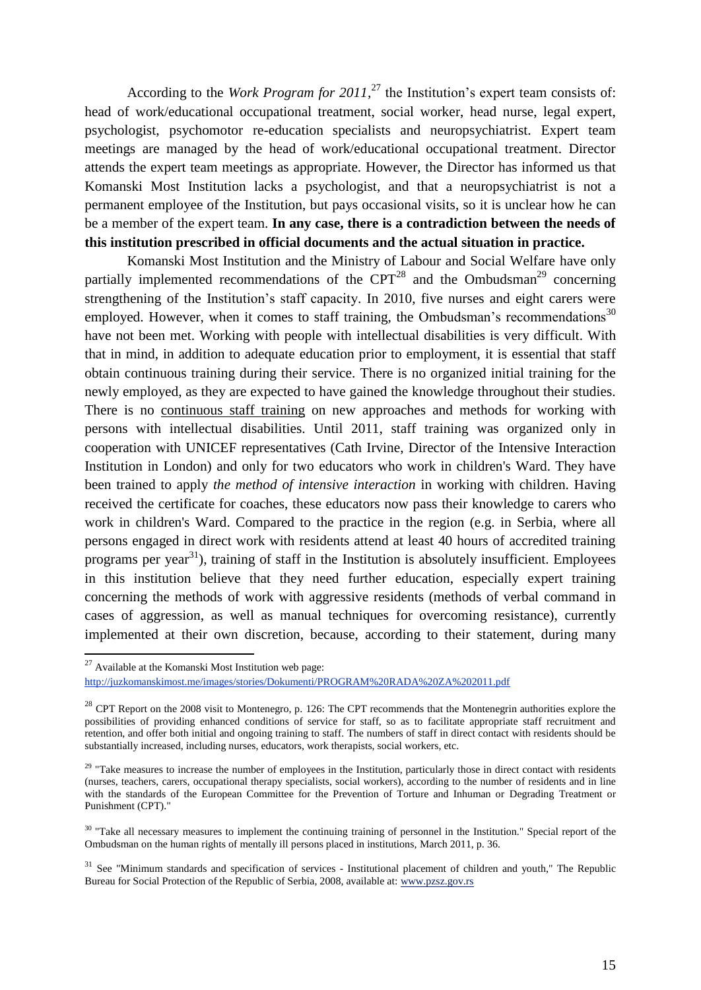According to the *Work Program for 2011,* <sup>27</sup> the Institution's expert team consists of: head of work/educational occupational treatment, social worker, head nurse, legal expert, psychologist, psychomotor re-education specialists and neuropsychiatrist. Expert team meetings are managed by the head of work/educational occupational treatment. Director attends the expert team meetings as appropriate. However, the Director has informed us that Komanski Most Institution lacks a psychologist, and that a neuropsychiatrist is not a permanent employee of the Institution, but pays occasional visits, so it is unclear how he can be a member of the expert team. **In any case, there is a contradiction between the needs of this institution prescribed in official documents and the actual situation in practice.**

Komanski Most Institution and the Ministry of Labour and Social Welfare have only partially implemented recommendations of the  $CPT^{28}$  and the Ombudsman<sup>29</sup> concerning strengthening of the Institution's staff capacity. In 2010, five nurses and eight carers were employed. However, when it comes to staff training, the Ombudsman's recommendations<sup>30</sup> have not been met. Working with people with intellectual disabilities is very difficult. With that in mind, in addition to adequate education prior to employment, it is essential that staff obtain continuous training during their service. There is no organized initial training for the newly employed, as they are expected to have gained the knowledge throughout their studies. There is no continuous staff training on new approaches and methods for working with persons with intellectual disabilities. Until 2011, staff training was organized only in cooperation with UNICEF representatives (Cath Irvine, Director of the Intensive Interaction Institution in London) and only for two educators who work in children's Ward. They have been trained to apply *the method of intensive interaction* in working with children. Having received the certificate for coaches, these educators now pass their knowledge to carers who work in children's Ward. Compared to the practice in the region (e.g. in Serbia, where all persons engaged in direct work with residents attend at least 40 hours of accredited training programs per year<sup>31</sup>), training of staff in the Institution is absolutely insufficient. Employees in this institution believe that they need further education, especially expert training concerning the methods of work with aggressive residents (methods of verbal command in cases of aggression, as well as manual techniques for overcoming resistance), currently implemented at their own discretion, because, according to their statement, during many

 $27$  Available at the Komanski Most Institution web page:

[http://juzkomanskimost.me/images/stories/Dokumenti/PROGRAM%20RADA%20ZA%202011.pdf](http://livepage.apple.com/)

<sup>&</sup>lt;sup>28</sup> CPT Report on the 2008 visit to Montenegro, p. 126: The CPT recommends that the Montenegrin authorities explore the possibilities of providing enhanced conditions of service for staff, so as to facilitate appropriate staff recruitment and retention, and offer both initial and ongoing training to staff. The numbers of staff in direct contact with residents should be substantially increased, including nurses, educators, work therapists, social workers, etc.

 $29$  "Take measures to increase the number of employees in the Institution, particularly those in direct contact with residents (nurses, teachers, carers, occupational therapy specialists, social workers), according to the number of residents and in line with the standards of the European Committee for the Prevention of Torture and Inhuman or Degrading Treatment or Punishment (CPT)."

<sup>&</sup>lt;sup>30</sup> "Take all necessary measures to implement the continuing training of personnel in the Institution." Special report of the Ombudsman on the human rights of mentally ill persons placed in institutions, March 2011, p. 36.

 $31$  See "Minimum standards and specification of services - Institutional placement of children and youth," The Republic Bureau for Social Protection of the Republic of Serbia, 2008, available at: [www.pzsz.gov.rs](http://www.pzsz.gov.rs/)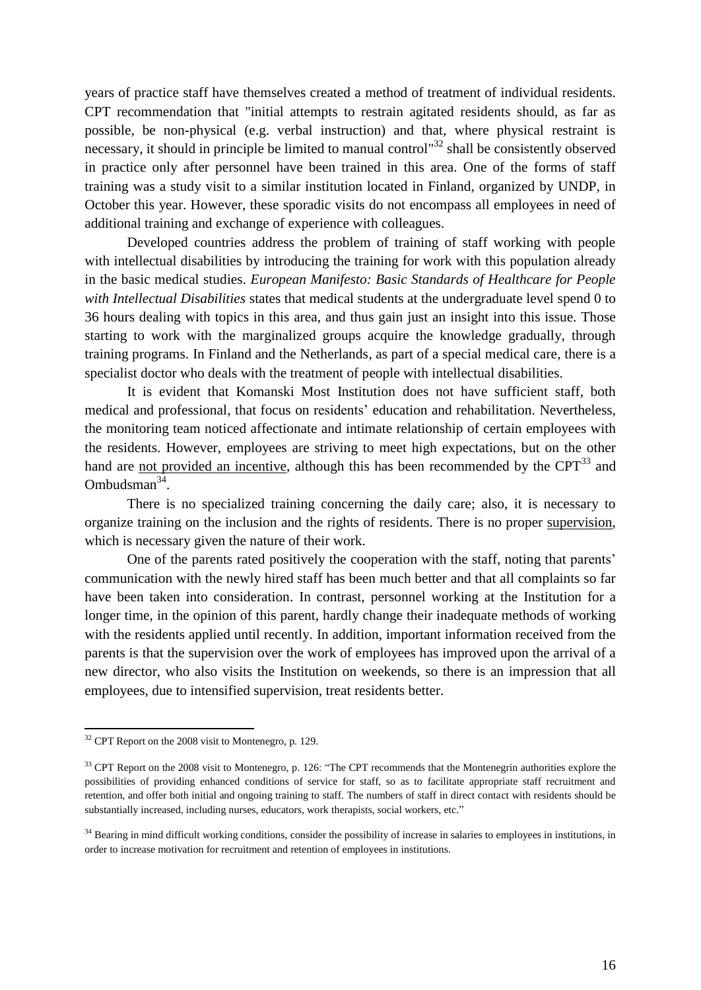years of practice staff have themselves created a method of treatment of individual residents. CPT recommendation that "initial attempts to restrain agitated residents should, as far as possible, be non-physical (e.g. verbal instruction) and that, where physical restraint is necessary, it should in principle be limited to manual control<sup>32</sup> shall be consistently observed in practice only after personnel have been trained in this area. One of the forms of staff training was a study visit to a similar institution located in Finland, organized by UNDP, in October this year. However, these sporadic visits do not encompass all employees in need of additional training and exchange of experience with colleagues.

Developed countries address the problem of training of staff working with people with intellectual disabilities by introducing the training for work with this population already in the basic medical studies. *European Manifesto: Basic Standards of Healthcare for People with Intellectual Disabilities* states that medical students at the undergraduate level spend 0 to 36 hours dealing with topics in this area, and thus gain just an insight into this issue. Those starting to work with the marginalized groups acquire the knowledge gradually, through training programs. In Finland and the Netherlands, as part of a special medical care, there is a specialist doctor who deals with the treatment of people with intellectual disabilities.

It is evident that Komanski Most Institution does not have sufficient staff, both medical and professional, that focus on residents' education and rehabilitation. Nevertheless, the monitoring team noticed affectionate and intimate relationship of certain employees with the residents. However, employees are striving to meet high expectations, but on the other hand are not provided an incentive, although this has been recommended by the  $CPT<sup>33</sup>$  and Ombudsman $34$ .

There is no specialized training concerning the daily care; also, it is necessary to organize training on the inclusion and the rights of residents. There is no proper supervision, which is necessary given the nature of their work.

One of the parents rated positively the cooperation with the staff, noting that parents' communication with the newly hired staff has been much better and that all complaints so far have been taken into consideration. In contrast, personnel working at the Institution for a longer time, in the opinion of this parent, hardly change their inadequate methods of working with the residents applied until recently. In addition, important information received from the parents is that the supervision over the work of employees has improved upon the arrival of a new director, who also visits the Institution on weekends, so there is an impression that all employees, due to intensified supervision, treat residents better.

-

 $32$  CPT Report on the 2008 visit to Montenegro, p. 129.

 $33$  CPT Report on the 2008 visit to Montenegro, p. 126: "The CPT recommends that the Montenegrin authorities explore the possibilities of providing enhanced conditions of service for staff, so as to facilitate appropriate staff recruitment and retention, and offer both initial and ongoing training to staff. The numbers of staff in direct contact with residents should be substantially increased, including nurses, educators, work therapists, social workers, etc."

<sup>&</sup>lt;sup>34</sup> Bearing in mind difficult working conditions, consider the possibility of increase in salaries to employees in institutions, in order to increase motivation for recruitment and retention of employees in institutions.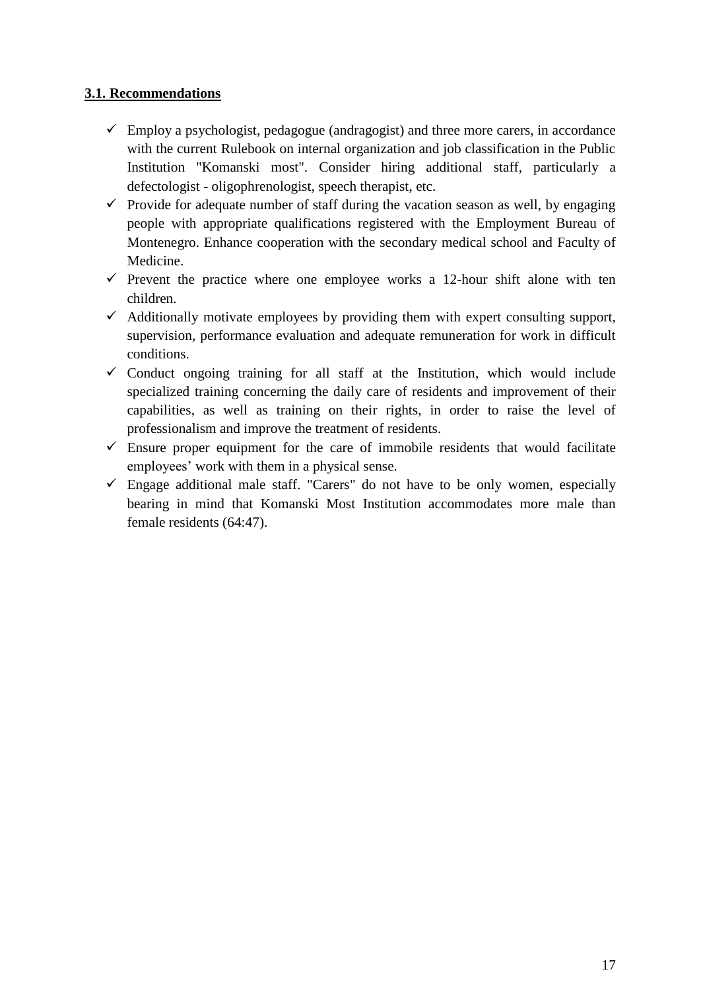## **3.1. Recommendations**

- $\checkmark$  Employ a psychologist, pedagogue (andragogist) and three more carers, in accordance with the current Rulebook on internal organization and job classification in the Public Institution "Komanski most". Consider hiring additional staff, particularly a defectologist - oligophrenologist, speech therapist, etc.
- $\checkmark$  Provide for adequate number of staff during the vacation season as well, by engaging people with appropriate qualifications registered with the Employment Bureau of Montenegro. Enhance cooperation with the secondary medical school and Faculty of Medicine.
- $\checkmark$  Prevent the practice where one employee works a 12-hour shift alone with ten children.
- $\checkmark$  Additionally motivate employees by providing them with expert consulting support, supervision, performance evaluation and adequate remuneration for work in difficult conditions.
- $\checkmark$  Conduct ongoing training for all staff at the Institution, which would include specialized training concerning the daily care of residents and improvement of their capabilities, as well as training on their rights, in order to raise the level of professionalism and improve the treatment of residents.
- $\checkmark$  Ensure proper equipment for the care of immobile residents that would facilitate employees' work with them in a physical sense.
- $\checkmark$  Engage additional male staff. "Carers" do not have to be only women, especially bearing in mind that Komanski Most Institution accommodates more male than female residents (64:47).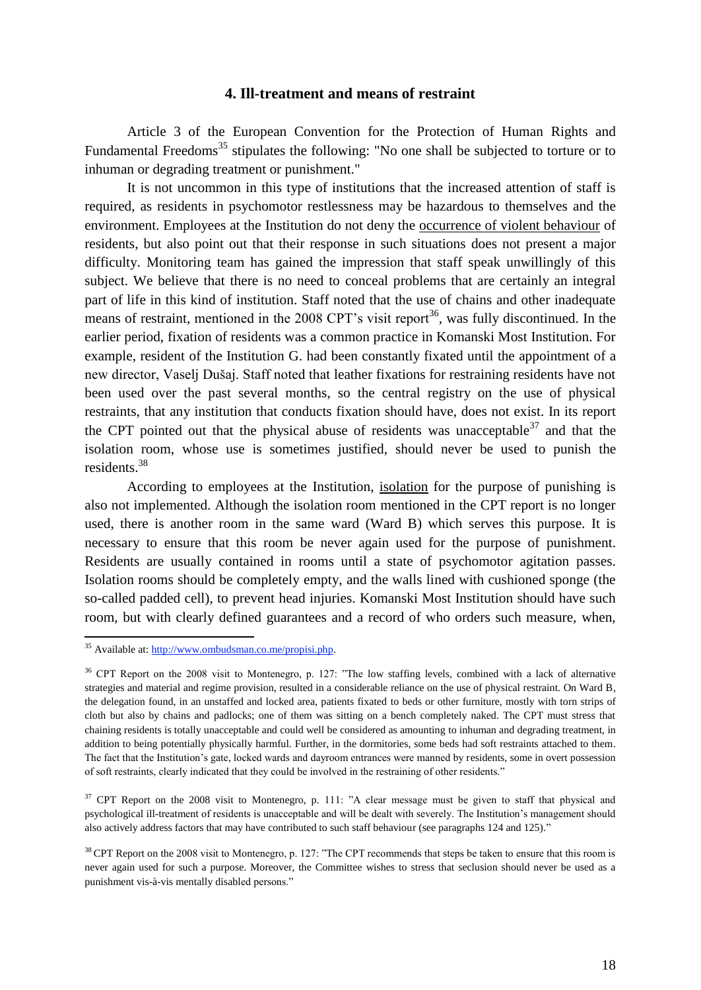#### **4. Ill-treatment and means of restraint**

Article 3 of the European Convention for the Protection of Human Rights and Fundamental Freedoms<sup>35</sup> stipulates the following: "No one shall be subjected to torture or to inhuman or degrading treatment or punishment."

It is not uncommon in this type of institutions that the increased attention of staff is required, as residents in psychomotor restlessness may be hazardous to themselves and the environment. Employees at the Institution do not deny the occurrence of violent behaviour of residents, but also point out that their response in such situations does not present a major difficulty. Monitoring team has gained the impression that staff speak unwillingly of this subject. We believe that there is no need to conceal problems that are certainly an integral part of life in this kind of institution. Staff noted that the use of chains and other inadequate means of restraint, mentioned in the 2008 CPT's visit report<sup>36</sup>, was fully discontinued. In the earlier period, fixation of residents was a common practice in Komanski Most Institution. For example, resident of the Institution G. had been constantly fixated until the appointment of a new director, Vaselj Dušaj. Staff noted that leather fixations for restraining residents have not been used over the past several months, so the central registry on the use of physical restraints, that any institution that conducts fixation should have, does not exist. In its report the CPT pointed out that the physical abuse of residents was unacceptable  $37$  and that the isolation room, whose use is sometimes justified, should never be used to punish the residents.<sup>38</sup>

According to employees at the Institution, isolation for the purpose of punishing is also not implemented. Although the isolation room mentioned in the CPT report is no longer used, there is another room in the same ward (Ward B) which serves this purpose. It is necessary to ensure that this room be never again used for the purpose of punishment. Residents are usually contained in rooms until a state of psychomotor agitation passes. Isolation rooms should be completely empty, and the walls lined with cushioned sponge (the so-called padded cell), to prevent head injuries. Komanski Most Institution should have such room, but with clearly defined guarantees and a record of who orders such measure, when,

-

<sup>&</sup>lt;sup>35</sup> Available at[: http://www.ombudsman.co.me/propisi.php.](http://www.ombudsman.co.me/propisi.php)

<sup>&</sup>lt;sup>36</sup> CPT Report on the 2008 visit to Montenegro, p. 127: "The low staffing levels, combined with a lack of alternative strategies and material and regime provision, resulted in a considerable reliance on the use of physical restraint. On Ward B, the delegation found, in an unstaffed and locked area, patients fixated to beds or other furniture, mostly with torn strips of cloth but also by chains and padlocks; one of them was sitting on a bench completely naked. The CPT must stress that chaining residents is totally unacceptable and could well be considered as amounting to inhuman and degrading treatment, in addition to being potentially physically harmful. Further, in the dormitories, some beds had soft restraints attached to them. The fact that the Institution's gate, locked wards and dayroom entrances were manned by residents, some in overt possession of soft restraints, clearly indicated that they could be involved in the restraining of other residents."

<sup>&</sup>lt;sup>37</sup> CPT Report on the 2008 visit to Montenegro, p. 111: "A clear message must be given to staff that physical and psychological ill-treatment of residents is unacceptable and will be dealt with severely. The Institution's management should also actively address factors that may have contributed to such staff behaviour (see paragraphs 124 and 125)."

<sup>&</sup>lt;sup>38</sup> CPT Report on the 2008 visit to Montenegro, p. 127: "The CPT recommends that steps be taken to ensure that this room is never again used for such a purpose. Moreover, the Committee wishes to stress that seclusion should never be used as a punishment vis-à-vis mentally disabled persons."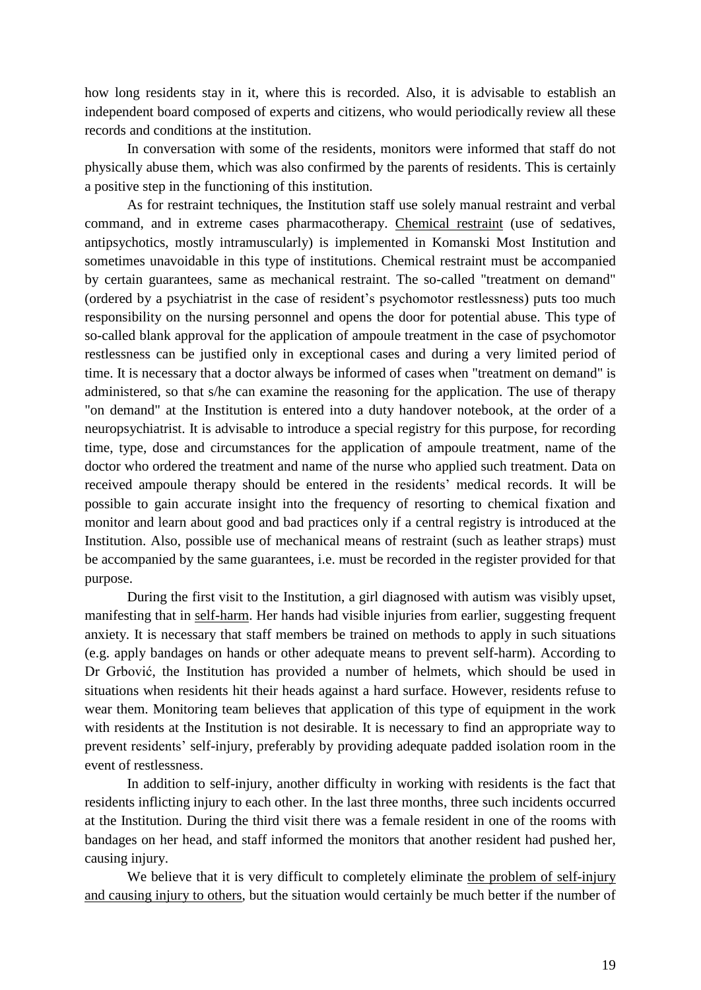how long residents stay in it, where this is recorded. Also, it is advisable to establish an independent board composed of experts and citizens, who would periodically review all these records and conditions at the institution.

In conversation with some of the residents, monitors were informed that staff do not physically abuse them, which was also confirmed by the parents of residents. This is certainly a positive step in the functioning of this institution.

As for restraint techniques, the Institution staff use solely manual restraint and verbal command, and in extreme cases pharmacotherapy. Chemical restraint (use of sedatives, antipsychotics, mostly intramuscularly) is implemented in Komanski Most Institution and sometimes unavoidable in this type of institutions. Chemical restraint must be accompanied by certain guarantees, same as mechanical restraint. The so-called "treatment on demand" (ordered by a psychiatrist in the case of resident's psychomotor restlessness) puts too much responsibility on the nursing personnel and opens the door for potential abuse. This type of so-called blank approval for the application of ampoule treatment in the case of psychomotor restlessness can be justified only in exceptional cases and during a very limited period of time. It is necessary that a doctor always be informed of cases when "treatment on demand" is administered, so that s/he can examine the reasoning for the application. The use of therapy "on demand" at the Institution is entered into a duty handover notebook, at the order of a neuropsychiatrist. It is advisable to introduce a special registry for this purpose, for recording time, type, dose and circumstances for the application of ampoule treatment, name of the doctor who ordered the treatment and name of the nurse who applied such treatment. Data on received ampoule therapy should be entered in the residents' medical records. It will be possible to gain accurate insight into the frequency of resorting to chemical fixation and monitor and learn about good and bad practices only if a central registry is introduced at the Institution. Also, possible use of mechanical means of restraint (such as leather straps) must be accompanied by the same guarantees, i.e. must be recorded in the register provided for that purpose.

During the first visit to the Institution, a girl diagnosed with autism was visibly upset, manifesting that in self-harm. Her hands had visible injuries from earlier, suggesting frequent anxiety. It is necessary that staff members be trained on methods to apply in such situations (e.g. apply bandages on hands or other adequate means to prevent self-harm). According to Dr Grbović, the Institution has provided a number of helmets, which should be used in situations when residents hit their heads against a hard surface. However, residents refuse to wear them. Monitoring team believes that application of this type of equipment in the work with residents at the Institution is not desirable. It is necessary to find an appropriate way to prevent residents' self-injury, preferably by providing adequate padded isolation room in the event of restlessness.

In addition to self-injury, another difficulty in working with residents is the fact that residents inflicting injury to each other. In the last three months, three such incidents occurred at the Institution. During the third visit there was a female resident in one of the rooms with bandages on her head, and staff informed the monitors that another resident had pushed her, causing injury.

We believe that it is very difficult to completely eliminate the problem of self-injury and causing injury to others, but the situation would certainly be much better if the number of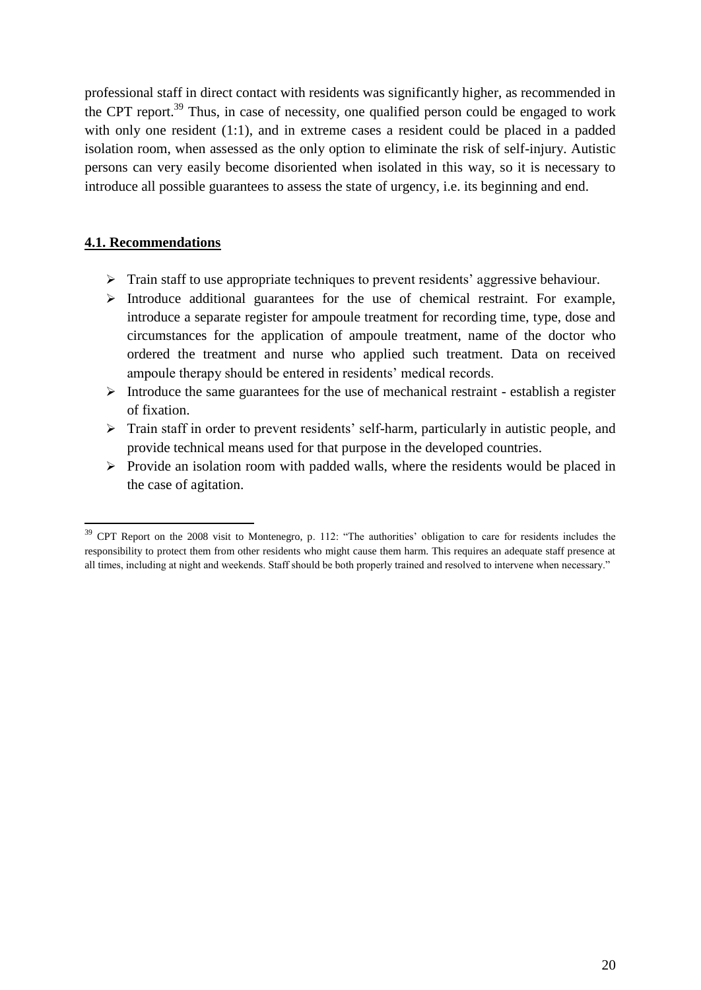professional staff in direct contact with residents was significantly higher, as recommended in the CPT report.<sup>39</sup> Thus, in case of necessity, one qualified person could be engaged to work with only one resident (1:1), and in extreme cases a resident could be placed in a padded isolation room, when assessed as the only option to eliminate the risk of self-injury. Autistic persons can very easily become disoriented when isolated in this way, so it is necessary to introduce all possible guarantees to assess the state of urgency, i.e. its beginning and end.

#### **4.1. Recommendations**

- $\triangleright$  Train staff to use appropriate techniques to prevent residents' aggressive behaviour.
- $\triangleright$  Introduce additional guarantees for the use of chemical restraint. For example, introduce a separate register for ampoule treatment for recording time, type, dose and circumstances for the application of ampoule treatment, name of the doctor who ordered the treatment and nurse who applied such treatment. Data on received ampoule therapy should be entered in residents' medical records.
- $\triangleright$  Introduce the same guarantees for the use of mechanical restraint establish a register of fixation.
- Train staff in order to prevent residents' self-harm, particularly in autistic people, and provide technical means used for that purpose in the developed countries.
- $\triangleright$  Provide an isolation room with padded walls, where the residents would be placed in the case of agitation.

 $39$  CPT Report on the 2008 visit to Montenegro, p. 112: "The authorities' obligation to care for residents includes the responsibility to protect them from other residents who might cause them harm. This requires an adequate staff presence at all times, including at night and weekends. Staff should be both properly trained and resolved to intervene when necessary."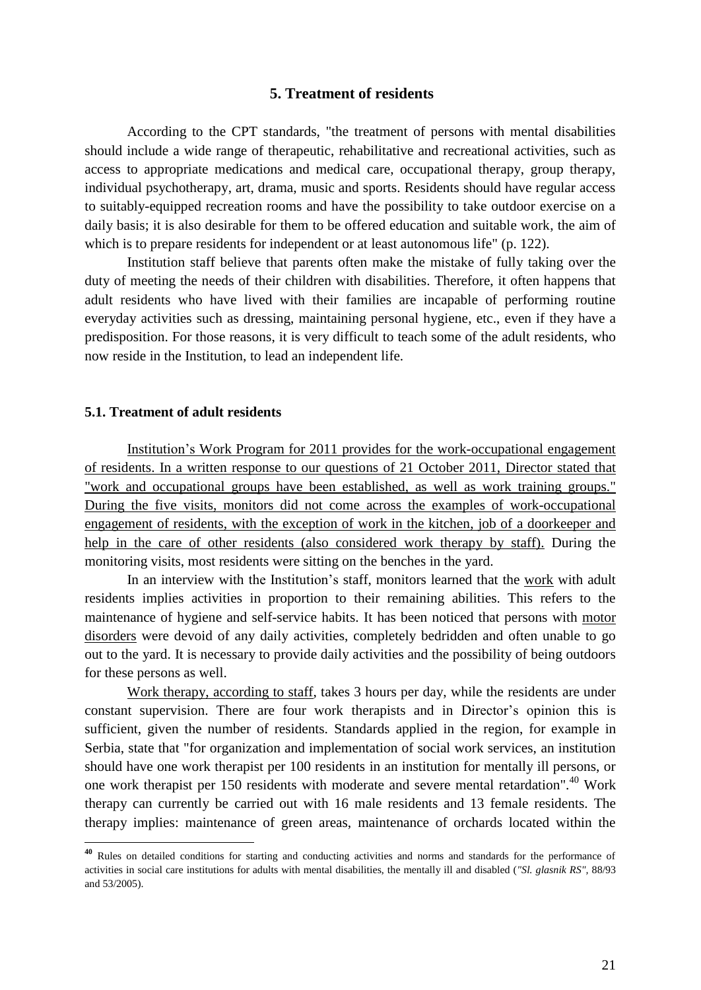#### **5. Treatment of residents**

According to the CPT standards, "the treatment of persons with mental disabilities should include a wide range of therapeutic, rehabilitative and recreational activities, such as access to appropriate medications and medical care, occupational therapy, group therapy, individual psychotherapy, art, drama, music and sports. Residents should have regular access to suitably-equipped recreation rooms and have the possibility to take outdoor exercise on a daily basis; it is also desirable for them to be offered education and suitable work, the aim of which is to prepare residents for independent or at least autonomous life" (p. 122).

Institution staff believe that parents often make the mistake of fully taking over the duty of meeting the needs of their children with disabilities. Therefore, it often happens that adult residents who have lived with their families are incapable of performing routine everyday activities such as dressing, maintaining personal hygiene, etc., even if they have a predisposition. For those reasons, it is very difficult to teach some of the adult residents, who now reside in the Institution, to lead an independent life.

#### **5.1. Treatment of adult residents**

1

Institution's Work Program for 2011 provides for the work-occupational engagement of residents. In a written response to our questions of 21 October 2011, Director stated that "work and occupational groups have been established, as well as work training groups." During the five visits, monitors did not come across the examples of work-occupational engagement of residents, with the exception of work in the kitchen, job of a doorkeeper and help in the care of other residents (also considered work therapy by staff). During the monitoring visits, most residents were sitting on the benches in the yard.

In an interview with the Institution's staff, monitors learned that the work with adult residents implies activities in proportion to their remaining abilities. This refers to the maintenance of hygiene and self-service habits. It has been noticed that persons with motor disorders were devoid of any daily activities, completely bedridden and often unable to go out to the yard. It is necessary to provide daily activities and the possibility of being outdoors for these persons as well.

Work therapy, according to staff, takes 3 hours per day, while the residents are under constant supervision. There are four work therapists and in Director's opinion this is sufficient, given the number of residents. Standards applied in the region, for example in Serbia, state that "for organization and implementation of social work services, an institution should have one work therapist per 100 residents in an institution for mentally ill persons, or one work therapist per 150 residents with moderate and severe mental retardation".<sup>40</sup> Work therapy can currently be carried out with 16 male residents and 13 female residents. The therapy implies: maintenance of green areas, maintenance of orchards located within the

**<sup>40</sup>** Rules on detailed conditions for starting and conducting activities and norms and standards for the performance of activities in social care institutions for adults with mental disabilities, the mentally ill and disabled (*"Sl. glasnik RS",* 88/93 and 53/2005).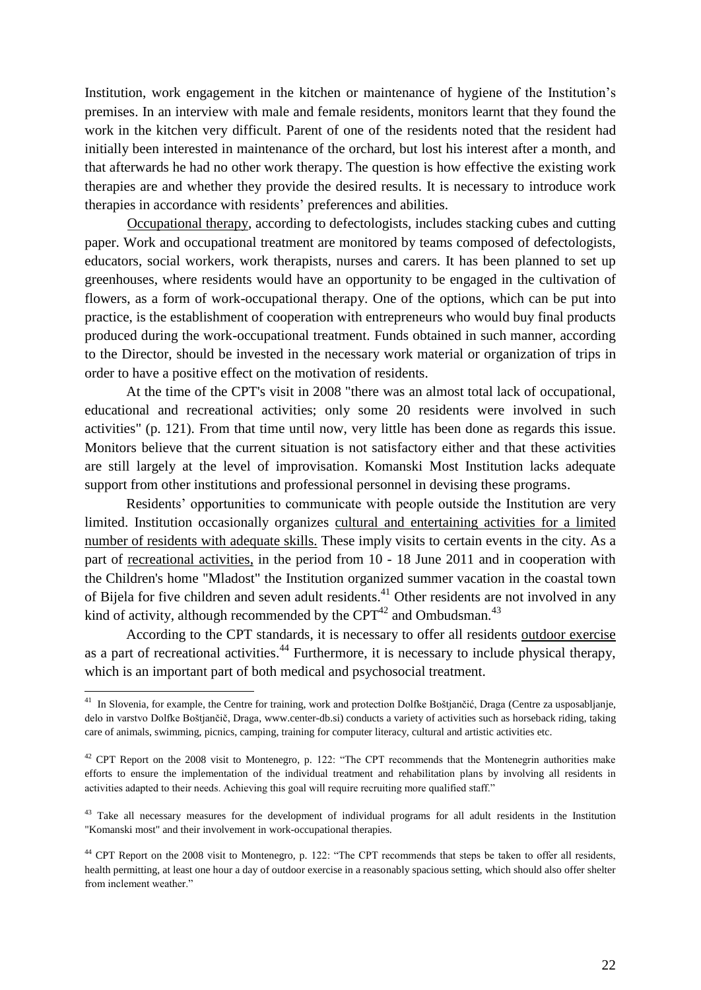Institution, work engagement in the kitchen or maintenance of hygiene of the Institution's premises. In an interview with male and female residents, monitors learnt that they found the work in the kitchen very difficult. Parent of one of the residents noted that the resident had initially been interested in maintenance of the orchard, but lost his interest after a month, and that afterwards he had no other work therapy. The question is how effective the existing work therapies are and whether they provide the desired results. It is necessary to introduce work therapies in accordance with residents' preferences and abilities.

Occupational therapy, according to defectologists, includes stacking cubes and cutting paper. Work and occupational treatment are monitored by teams composed of defectologists, educators, social workers, work therapists, nurses and carers. It has been planned to set up greenhouses, where residents would have an opportunity to be engaged in the cultivation of flowers, as a form of work-occupational therapy. One of the options, which can be put into practice, is the establishment of cooperation with entrepreneurs who would buy final products produced during the work-occupational treatment. Funds obtained in such manner, according to the Director, should be invested in the necessary work material or organization of trips in order to have a positive effect on the motivation of residents.

At the time of the CPT's visit in 2008 "there was an almost total lack of occupational, educational and recreational activities; only some 20 residents were involved in such activities" (p. 121). From that time until now, very little has been done as regards this issue. Monitors believe that the current situation is not satisfactory either and that these activities are still largely at the level of improvisation. Komanski Most Institution lacks adequate support from other institutions and professional personnel in devising these programs.

Residents' opportunities to communicate with people outside the Institution are very limited. Institution occasionally organizes cultural and entertaining activities for a limited number of residents with adequate skills. These imply visits to certain events in the city. As a part of recreational activities, in the period from 10 - 18 June 2011 and in cooperation with the Children's home "Mladost" the Institution organized summer vacation in the coastal town of Bijela for five children and seven adult residents.<sup>41</sup> Other residents are not involved in any kind of activity, although recommended by the  $CPT^{42}$  and Ombudsman.<sup>43</sup>

According to the CPT standards, it is necessary to offer all residents outdoor exercise as a part of recreational activities.<sup>44</sup> Furthermore, it is necessary to include physical therapy, which is an important part of both medical and psychosocial treatment.

 41 In Slovenia, for example, the Centre for training, work and protection Dolfke Boštjančić, Draga (Centre za usposabljanje, delo in varstvo Dolfke Boštjančič, Draga, www.center-db.si) conducts a variety of activities such as horseback riding, taking care of animals, swimming, picnics, camping, training for computer literacy, cultural and artistic activities etc.

 $42$  CPT Report on the 2008 visit to Montenegro, p. 122: "The CPT recommends that the Montenegrin authorities make efforts to ensure the implementation of the individual treatment and rehabilitation plans by involving all residents in activities adapted to their needs. Achieving this goal will require recruiting more qualified staff."

<sup>&</sup>lt;sup>43</sup> Take all necessary measures for the development of individual programs for all adult residents in the Institution "Komanski most" and their involvement in work-occupational therapies.

<sup>&</sup>lt;sup>44</sup> CPT Report on the 2008 visit to Montenegro, p. 122: "The CPT recommends that steps be taken to offer all residents, health permitting, at least one hour a day of outdoor exercise in a reasonably spacious setting, which should also offer shelter from inclement weather."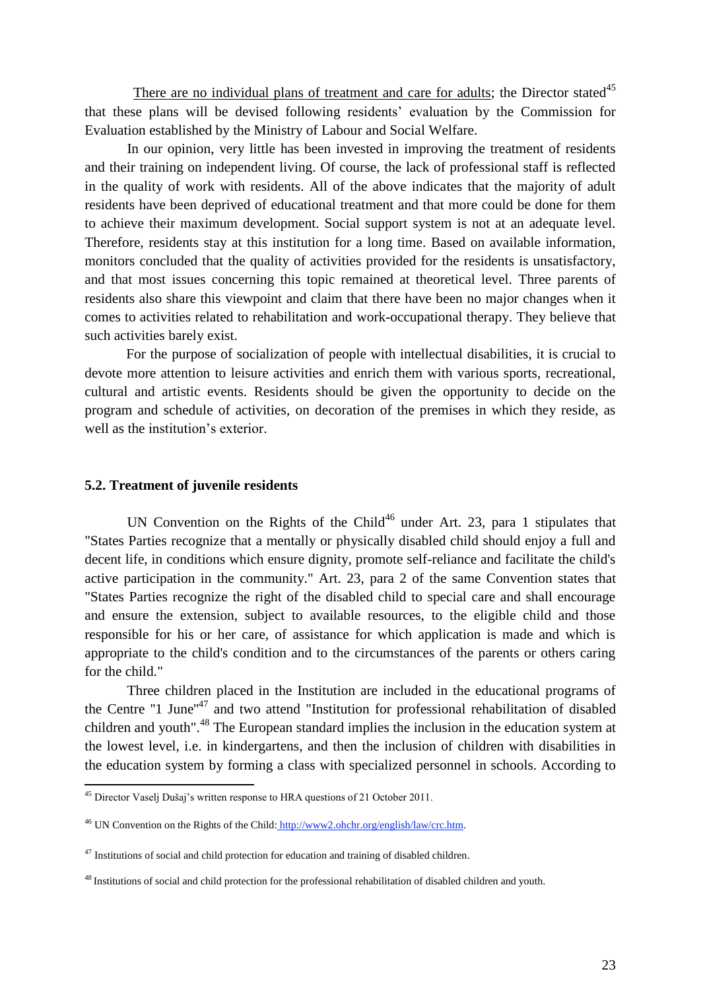There are no individual plans of treatment and care for adults; the Director stated $45$ that these plans will be devised following residents' evaluation by the Commission for Evaluation established by the Ministry of Labour and Social Welfare.

In our opinion, very little has been invested in improving the treatment of residents and their training on independent living. Of course, the lack of professional staff is reflected in the quality of work with residents. All of the above indicates that the majority of adult residents have been deprived of educational treatment and that more could be done for them to achieve their maximum development. Social support system is not at an adequate level. Therefore, residents stay at this institution for a long time. Based on available information, monitors concluded that the quality of activities provided for the residents is unsatisfactory, and that most issues concerning this topic remained at theoretical level. Three parents of residents also share this viewpoint and claim that there have been no major changes when it comes to activities related to rehabilitation and work-occupational therapy. They believe that such activities barely exist.

For the purpose of socialization of people with intellectual disabilities, it is crucial to devote more attention to leisure activities and enrich them with various sports, recreational, cultural and artistic events. Residents should be given the opportunity to decide on the program and schedule of activities, on decoration of the premises in which they reside, as well as the institution's exterior.

#### **5.2. Treatment of juvenile residents**

**.** 

UN Convention on the Rights of the Child<sup>46</sup> under Art. 23, para 1 stipulates that "States Parties recognize that a mentally or physically disabled child should enjoy a full and decent life, in conditions which ensure dignity, promote self-reliance and facilitate the child's active participation in the community." Art. 23, para 2 of the same Convention states that "States Parties recognize the right of the disabled child to special care and shall encourage and ensure the extension, subject to available resources, to the eligible child and those responsible for his or her care, of assistance for which application is made and which is appropriate to the child's condition and to the circumstances of the parents or others caring for the child."

Three children placed in the Institution are included in the educational programs of the Centre "1 June"<sup>47</sup> and two attend "Institution for professional rehabilitation of disabled children and youth".<sup>48</sup> The European standard implies the inclusion in the education system at the lowest level, i.e. in kindergartens, and then the inclusion of children with disabilities in the education system by forming a class with specialized personnel in schools. According to

 $45$  Director Vaselj Dušaj's written response to HRA questions of 21 October 2011.

<sup>46</sup> UN Convention on the Rights of the Child: [http://www2.ohchr.org/english/law/crc.htm.](http://www2.ohchr.org/english/law/crc.htm)

 $47$  Institutions of social and child protection for education and training of disabled children.

<sup>&</sup>lt;sup>48</sup> Institutions of social and child protection for the professional rehabilitation of disabled children and youth.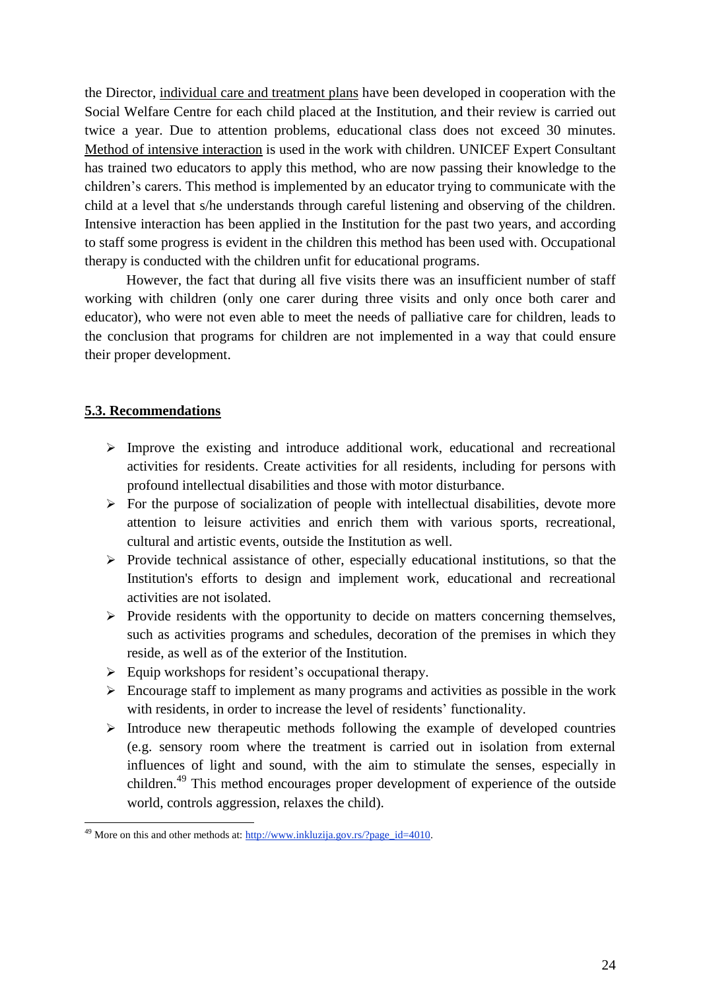the Director, individual care and treatment plans have been developed in cooperation with the Social Welfare Centre for each child placed at the Institution, and their review is carried out twice a year. Due to attention problems, educational class does not exceed 30 minutes. Method of intensive interaction is used in the work with children. UNICEF Expert Consultant has trained two educators to apply this method, who are now passing their knowledge to the children's carers. This method is implemented by an educator trying to communicate with the child at a level that s/he understands through careful listening and observing of the children. Intensive interaction has been applied in the Institution for the past two years, and according to staff some progress is evident in the children this method has been used with. Occupational therapy is conducted with the children unfit for educational programs.

However, the fact that during all five visits there was an insufficient number of staff working with children (only one carer during three visits and only once both carer and educator), who were not even able to meet the needs of palliative care for children, leads to the conclusion that programs for children are not implemented in a way that could ensure their proper development.

#### **5.3. Recommendations**

- $\triangleright$  Improve the existing and introduce additional work, educational and recreational activities for residents. Create activities for all residents, including for persons with profound intellectual disabilities and those with motor disturbance.
- $\triangleright$  For the purpose of socialization of people with intellectual disabilities, devote more attention to leisure activities and enrich them with various sports, recreational, cultural and artistic events, outside the Institution as well.
- $\triangleright$  Provide technical assistance of other, especially educational institutions, so that the Institution's efforts to design and implement work, educational and recreational activities are not isolated.
- $\triangleright$  Provide residents with the opportunity to decide on matters concerning themselves, such as activities programs and schedules, decoration of the premises in which they reside, as well as of the exterior of the Institution.
- $\triangleright$  Equip workshops for resident's occupational therapy.
- $\triangleright$  Encourage staff to implement as many programs and activities as possible in the work with residents, in order to increase the level of residents' functionality.
- $\triangleright$  Introduce new therapeutic methods following the example of developed countries (e.g. sensory room where the treatment is carried out in isolation from external influences of light and sound, with the aim to stimulate the senses, especially in children.<sup>49</sup> This method encourages proper development of experience of the outside world, controls aggression, relaxes the child).

<sup>&</sup>lt;sup>49</sup> More on this and other methods at[: http://www.inkluzija.gov.rs/?page\\_id=4010.](http://www.inkluzija.gov.rs/?page_id=4010)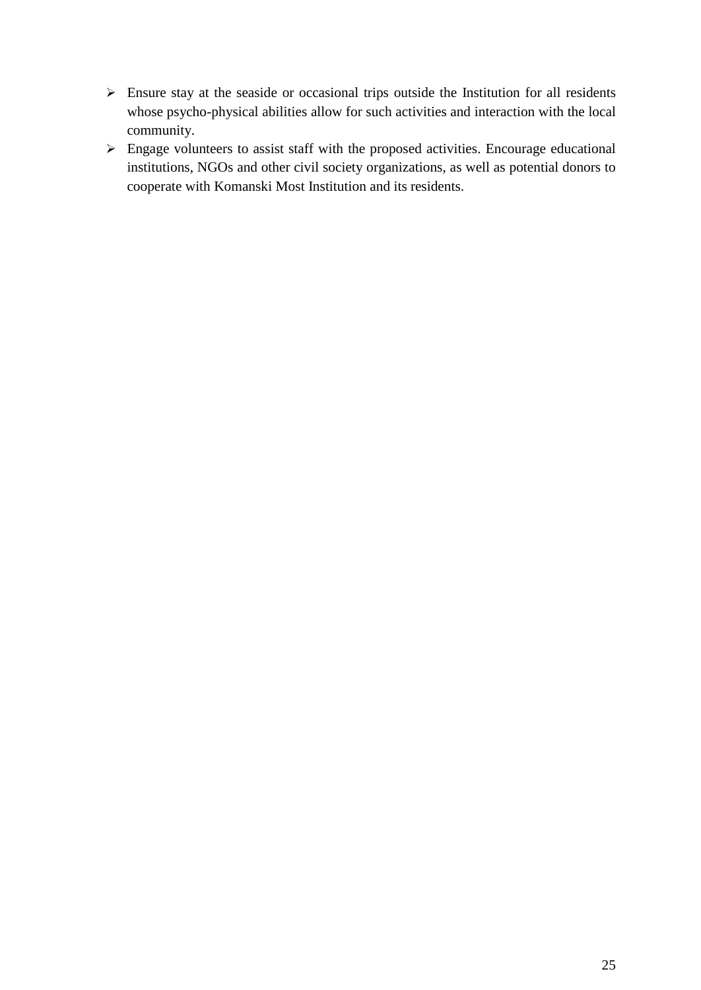- $\triangleright$  Ensure stay at the seaside or occasional trips outside the Institution for all residents whose psycho-physical abilities allow for such activities and interaction with the local community.
- Engage volunteers to assist staff with the proposed activities. Encourage educational institutions, NGOs and other civil society organizations, as well as potential donors to cooperate with Komanski Most Institution and its residents.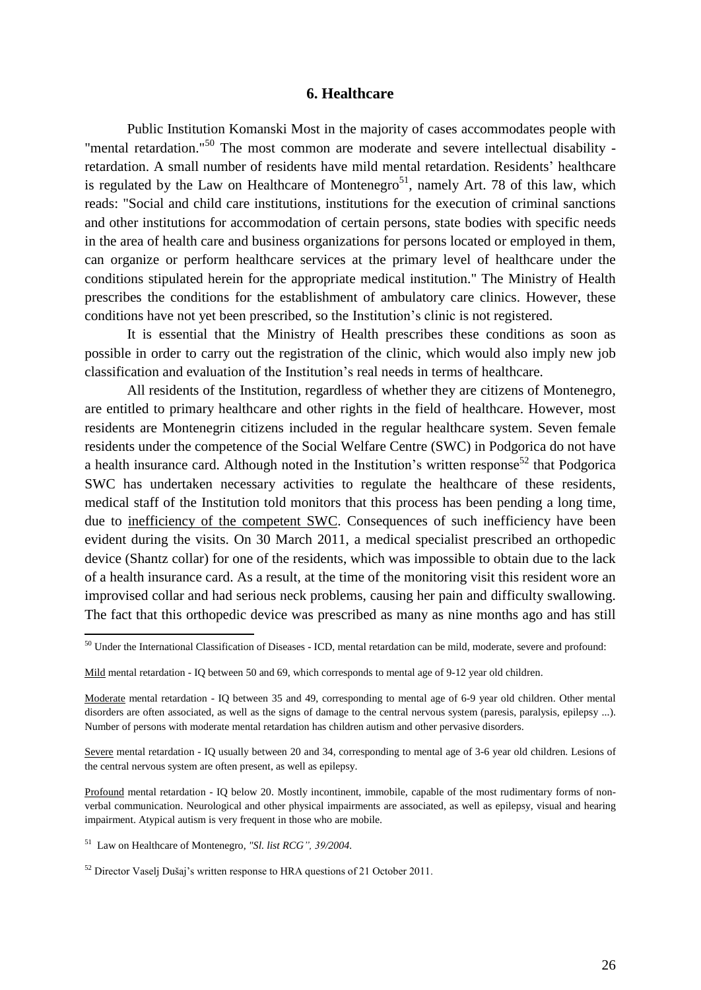#### **6. Healthcare**

Public Institution Komanski Most in the majority of cases accommodates people with "mental retardation."<sup>50</sup> The most common are moderate and severe intellectual disability retardation. A small number of residents have mild mental retardation. Residents' healthcare is regulated by the Law on Healthcare of Montenegro<sup>51</sup>, namely Art. 78 of this law, which reads: "Social and child care institutions, institutions for the execution of criminal sanctions and other institutions for accommodation of certain persons, state bodies with specific needs in the area of health care and business organizations for persons located or employed in them, can organize or perform healthcare services at the primary level of healthcare under the conditions stipulated herein for the appropriate medical institution." The Ministry of Health prescribes the conditions for the establishment of ambulatory care clinics. However, these conditions have not yet been prescribed, so the Institution's clinic is not registered.

It is essential that the Ministry of Health prescribes these conditions as soon as possible in order to carry out the registration of the clinic, which would also imply new job classification and evaluation of the Institution's real needs in terms of healthcare.

All residents of the Institution, regardless of whether they are citizens of Montenegro, are entitled to primary healthcare and other rights in the field of healthcare. However, most residents are Montenegrin citizens included in the regular healthcare system. Seven female residents under the competence of the Social Welfare Centre (SWC) in Podgorica do not have a health insurance card. Although noted in the Institution's written response<sup>52</sup> that Podgorica SWC has undertaken necessary activities to regulate the healthcare of these residents, medical staff of the Institution told monitors that this process has been pending a long time, due to inefficiency of the competent SWC. Consequences of such inefficiency have been evident during the visits. On 30 March 2011, a medical specialist prescribed an orthopedic device (Shantz collar) for one of the residents, which was impossible to obtain due to the lack of a health insurance card. As a result, at the time of the monitoring visit this resident wore an improvised collar and had serious neck problems, causing her pain and difficulty swallowing. The fact that this orthopedic device was prescribed as many as nine months ago and has still

 $50$  Under the International Classification of Diseases - ICD, mental retardation can be mild, moderate, severe and profound:

Mild mental retardation - IQ between 50 and 69, which corresponds to mental age of 9-12 year old children.

Moderate mental retardation - IQ between 35 and 49, corresponding to mental age of 6-9 year old children. Other mental disorders are often associated, as well as the signs of damage to the central nervous system (paresis, paralysis, epilepsy ...). Number of persons with moderate mental retardation has children autism and other pervasive disorders.

Severe mental retardation - IQ usually between 20 and 34, corresponding to mental age of 3-6 year old children. Lesions of the central nervous system are often present, as well as epilepsy.

Profound mental retardation - IQ below 20. Mostly incontinent, immobile, capable of the most rudimentary forms of nonverbal communication. Neurological and other physical impairments are associated, as well as epilepsy, visual and hearing impairment. Atypical autism is very frequent in those who are mobile.

<sup>51</sup> Law on Healthcare of Montenegro, *"Sl. list RCG", 39/2004.*

<sup>&</sup>lt;sup>52</sup> Director Vaselj Dušaj's written response to HRA questions of 21 October 2011.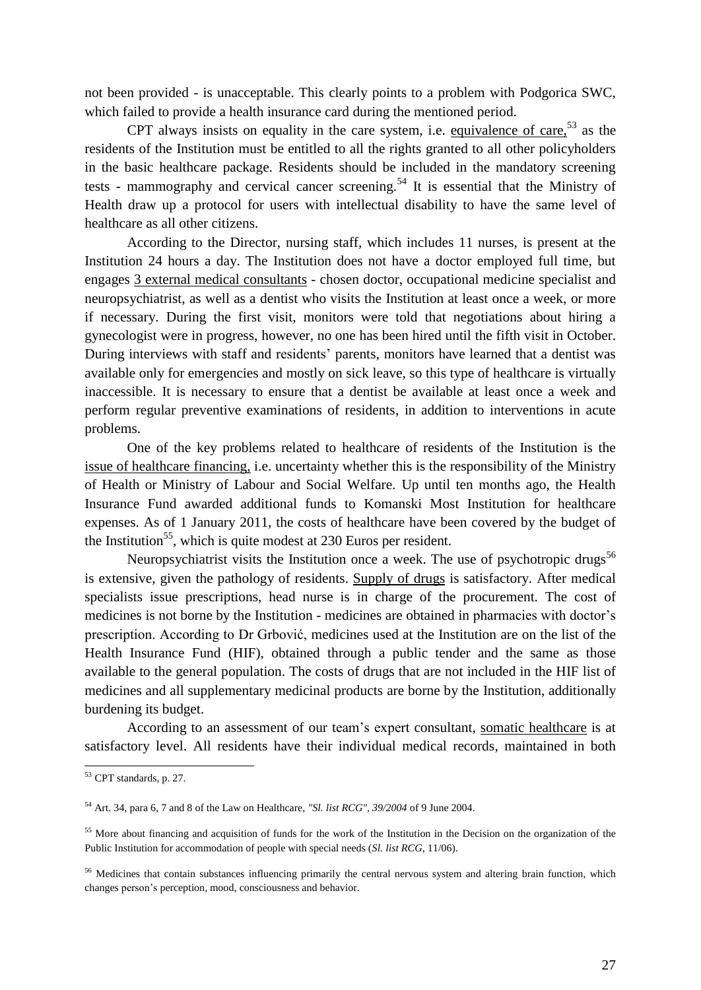not been provided - is unacceptable. This clearly points to a problem with Podgorica SWC, which failed to provide a health insurance card during the mentioned period.

CPT always insists on equality in the care system, i.e. equivalence of care,  $5<sup>3</sup>$  as the residents of the Institution must be entitled to all the rights granted to all other policyholders in the basic healthcare package. Residents should be included in the mandatory screening tests - mammography and cervical cancer screening.<sup>54</sup> It is essential that the Ministry of Health draw up a protocol for users with intellectual disability to have the same level of healthcare as all other citizens.

According to the Director, nursing staff, which includes 11 nurses, is present at the Institution 24 hours a day. The Institution does not have a doctor employed full time, but engages 3 external medical consultants - chosen doctor, occupational medicine specialist and neuropsychiatrist, as well as a dentist who visits the Institution at least once a week, or more if necessary. During the first visit, monitors were told that negotiations about hiring a gynecologist were in progress, however, no one has been hired until the fifth visit in October. During interviews with staff and residents' parents, monitors have learned that a dentist was available only for emergencies and mostly on sick leave, so this type of healthcare is virtually inaccessible. It is necessary to ensure that a dentist be available at least once a week and perform regular preventive examinations of residents, in addition to interventions in acute problems.

One of the key problems related to healthcare of residents of the Institution is the issue of healthcare financing, i.e. uncertainty whether this is the responsibility of the Ministry of Health or Ministry of Labour and Social Welfare. Up until ten months ago, the Health Insurance Fund awarded additional funds to Komanski Most Institution for healthcare expenses. As of 1 January 2011, the costs of healthcare have been covered by the budget of the Institution<sup>55</sup>, which is quite modest at 230 Euros per resident.

Neuropsychiatrist visits the Institution once a week. The use of psychotropic drugs<sup>56</sup> is extensive, given the pathology of residents. Supply of drugs is satisfactory. After medical specialists issue prescriptions, head nurse is in charge of the procurement. The cost of medicines is not borne by the Institution - medicines are obtained in pharmacies with doctor's prescription. According to Dr Grbović, medicines used at the Institution are on the list of the Health Insurance Fund (HIF), obtained through a public tender and the same as those available to the general population. The costs of drugs that are not included in the HIF list of medicines and all supplementary medicinal products are borne by the Institution, additionally burdening its budget.

According to an assessment of our team's expert consultant, somatic healthcare is at satisfactory level. All residents have their individual medical records, maintained in both

<sup>53</sup> CPT standards, p. 27.

<sup>54</sup> Art. 34, para 6, 7 and 8 of the Law on Healthcare, *"Sl. list RCG", 39/2004* of 9 June 2004.

<sup>&</sup>lt;sup>55</sup> More about financing and acquisition of funds for the work of the Institution in the Decision on the organization of the Public Institution for accommodation of people with special needs (*Sl. list RCG*, 11/06).

<sup>&</sup>lt;sup>56</sup> Medicines that contain substances influencing primarily the central nervous system and altering brain function, which changes person's perception, mood, consciousness and behavior.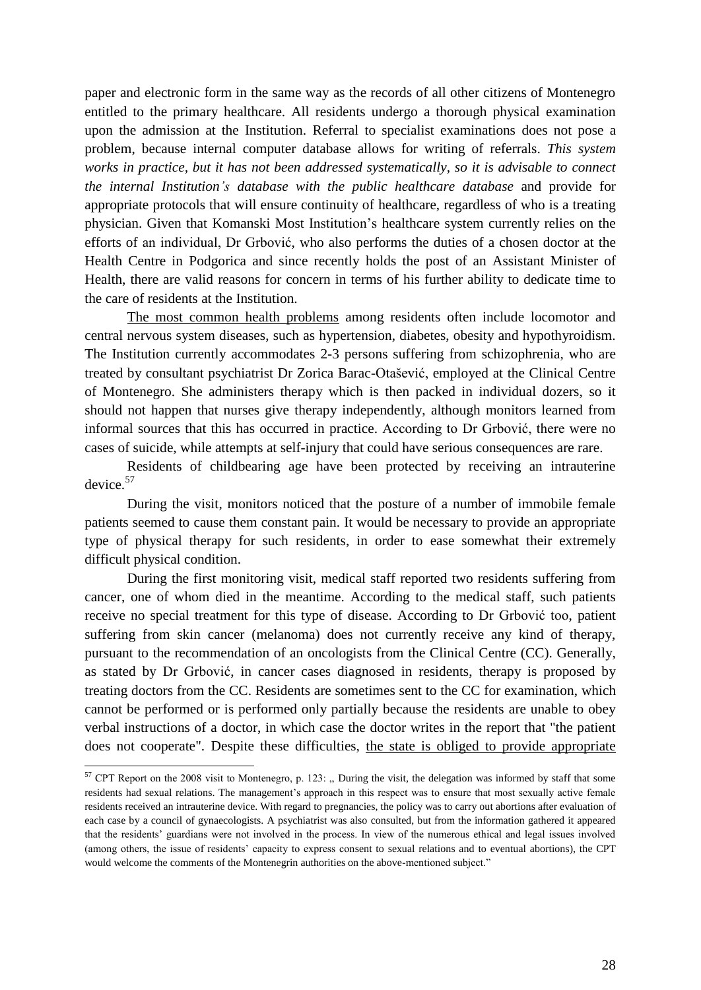paper and electronic form in the same way as the records of all other citizens of Montenegro entitled to the primary healthcare. All residents undergo a thorough physical examination upon the admission at the Institution. Referral to specialist examinations does not pose a problem, because internal computer database allows for writing of referrals. *This system works in practice, but it has not been addressed systematically, so it is advisable to connect the internal Institution's database with the public healthcare database* and provide for appropriate protocols that will ensure continuity of healthcare, regardless of who is a treating physician. Given that Komanski Most Institution's healthcare system currently relies on the efforts of an individual, Dr Grbović, who also performs the duties of a chosen doctor at the Health Centre in Podgorica and since recently holds the post of an Assistant Minister of Health, there are valid reasons for concern in terms of his further ability to dedicate time to the care of residents at the Institution.

The most common health problems among residents often include locomotor and central nervous system diseases, such as hypertension, diabetes, obesity and hypothyroidism. The Institution currently accommodates 2-3 persons suffering from schizophrenia, who are treated by consultant psychiatrist Dr Zorica Barac-Otašević, employed at the Clinical Centre of Montenegro. She administers therapy which is then packed in individual dozers, so it should not happen that nurses give therapy independently, although monitors learned from informal sources that this has occurred in practice. According to Dr Grbović, there were no cases of suicide, while attempts at self-injury that could have serious consequences are rare.

Residents of childbearing age have been protected by receiving an intrauterine device. 57

During the visit, monitors noticed that the posture of a number of immobile female patients seemed to cause them constant pain. It would be necessary to provide an appropriate type of physical therapy for such residents, in order to ease somewhat their extremely difficult physical condition.

During the first monitoring visit, medical staff reported two residents suffering from cancer, one of whom died in the meantime. According to the medical staff, such patients receive no special treatment for this type of disease. According to Dr Grbović too, patient suffering from skin cancer (melanoma) does not currently receive any kind of therapy, pursuant to the recommendation of an oncologists from the Clinical Centre (CC). Generally, as stated by Dr Grbović, in cancer cases diagnosed in residents, therapy is proposed by treating doctors from the CC. Residents are sometimes sent to the CC for examination, which cannot be performed or is performed only partially because the residents are unable to obey verbal instructions of a doctor, in which case the doctor writes in the report that "the patient does not cooperate". Despite these difficulties, the state is obliged to provide appropriate

 $57$  CPT Report on the 2008 visit to Montenegro, p. 123: " During the visit, the delegation was informed by staff that some residents had sexual relations. The management's approach in this respect was to ensure that most sexually active female residents received an intrauterine device. With regard to pregnancies, the policy was to carry out abortions after evaluation of each case by a council of gynaecologists. A psychiatrist was also consulted, but from the information gathered it appeared that the residents' guardians were not involved in the process. In view of the numerous ethical and legal issues involved (among others, the issue of residents' capacity to express consent to sexual relations and to eventual abortions), the CPT would welcome the comments of the Montenegrin authorities on the above-mentioned subject."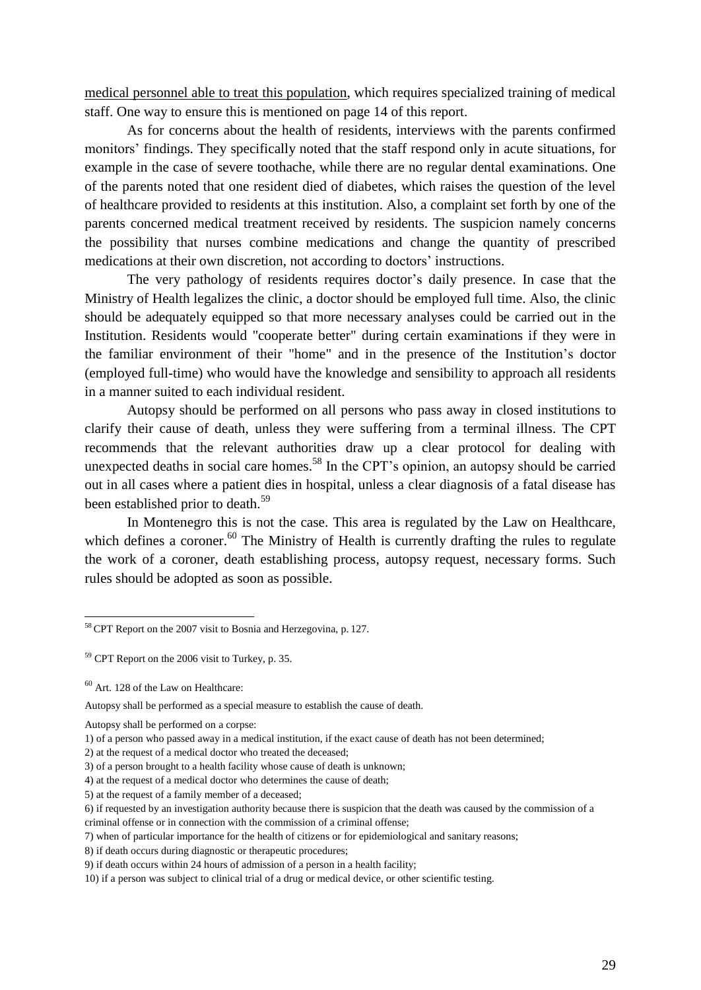medical personnel able to treat this population, which requires specialized training of medical staff. One way to ensure this is mentioned on page 14 of this report.

As for concerns about the health of residents, interviews with the parents confirmed monitors' findings. They specifically noted that the staff respond only in acute situations, for example in the case of severe toothache, while there are no regular dental examinations. One of the parents noted that one resident died of diabetes, which raises the question of the level of healthcare provided to residents at this institution. Also, a complaint set forth by one of the parents concerned medical treatment received by residents. The suspicion namely concerns the possibility that nurses combine medications and change the quantity of prescribed medications at their own discretion, not according to doctors' instructions.

The very pathology of residents requires doctor's daily presence. In case that the Ministry of Health legalizes the clinic, a doctor should be employed full time. Also, the clinic should be adequately equipped so that more necessary analyses could be carried out in the Institution. Residents would "cooperate better" during certain examinations if they were in the familiar environment of their "home" and in the presence of the Institution's doctor (employed full-time) who would have the knowledge and sensibility to approach all residents in a manner suited to each individual resident.

Autopsy should be performed on all persons who pass away in closed institutions to clarify their cause of death, unless they were suffering from a terminal illness. The CPT recommends that the relevant authorities draw up a clear protocol for dealing with unexpected deaths in social care homes.<sup>58</sup> In the CPT's opinion, an autopsy should be carried out in all cases where a patient dies in hospital, unless a clear diagnosis of a fatal disease has been established prior to death.<sup>59</sup>

In Montenegro this is not the case. This area is regulated by the Law on Healthcare, which defines a coroner.<sup>60</sup> The Ministry of Health is currently drafting the rules to regulate the work of a coroner, death establishing process, autopsy request, necessary forms. Such rules should be adopted as soon as possible.

**.** 

Autopsy shall be performed on a corpse:

<sup>58</sup> CPT Report on the 2007 visit to Bosnia and Herzegovina, p. 127.

 $59$  CPT Report on the 2006 visit to Turkey, p. 35.

<sup>60</sup> Art. 128 of the Law on Healthcare:

Autopsy shall be performed as a special measure to establish the cause of death.

<sup>1)</sup> of a person who passed away in a medical institution, if the exact cause of death has not been determined;

<sup>2)</sup> at the request of a medical doctor who treated the deceased;

<sup>3)</sup> of a person brought to a health facility whose cause of death is unknown;

<sup>4)</sup> at the request of a medical doctor who determines the cause of death;

<sup>5)</sup> at the request of a family member of a deceased;

<sup>6)</sup> if requested by an investigation authority because there is suspicion that the death was caused by the commission of a criminal offense or in connection with the commission of a criminal offense;

<sup>7)</sup> when of particular importance for the health of citizens or for epidemiological and sanitary reasons;

<sup>8)</sup> if death occurs during diagnostic or therapeutic procedures;

<sup>9)</sup> if death occurs within 24 hours of admission of a person in a health facility;

<sup>10)</sup> if a person was subject to clinical trial of a drug or medical device, or other scientific testing.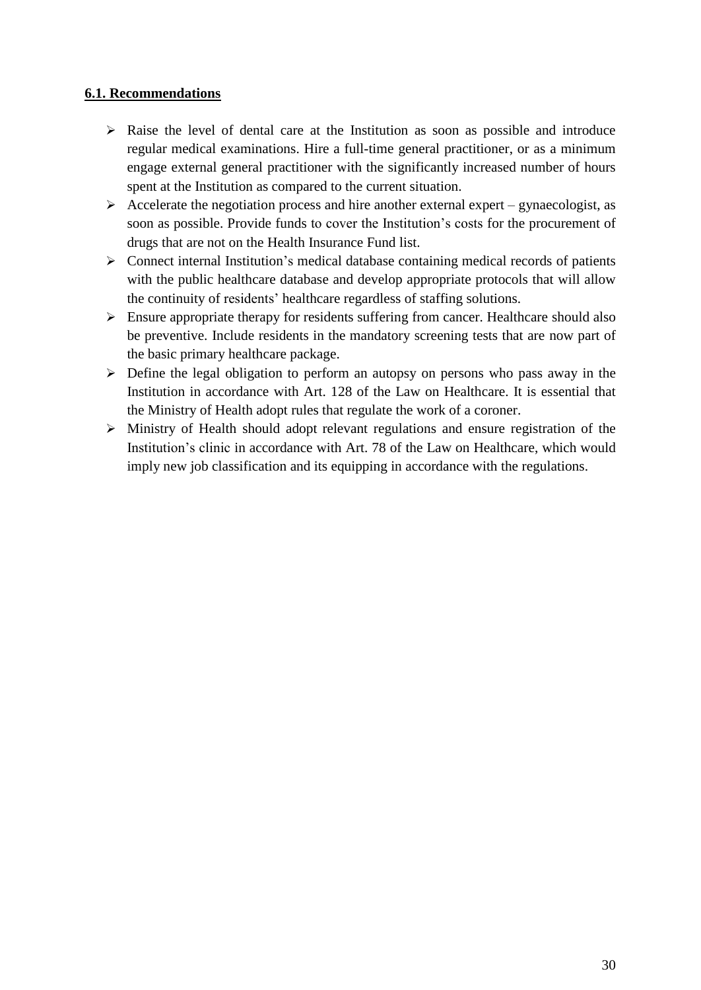### **6.1. Recommendations**

- $\triangleright$  Raise the level of dental care at the Institution as soon as possible and introduce regular medical examinations. Hire a full-time general practitioner, or as a minimum engage external general practitioner with the significantly increased number of hours spent at the Institution as compared to the current situation.
- $\triangleright$  Accelerate the negotiation process and hire another external expert gynaecologist, as soon as possible. Provide funds to cover the Institution's costs for the procurement of drugs that are not on the Health Insurance Fund list.
- $\triangleright$  Connect internal Institution's medical database containing medical records of patients with the public healthcare database and develop appropriate protocols that will allow the continuity of residents' healthcare regardless of staffing solutions.
- $\triangleright$  Ensure appropriate therapy for residents suffering from cancer. Healthcare should also be preventive. Include residents in the mandatory screening tests that are now part of the basic primary healthcare package.
- $\triangleright$  Define the legal obligation to perform an autopsy on persons who pass away in the Institution in accordance with Art. 128 of the Law on Healthcare. It is essential that the Ministry of Health adopt rules that regulate the work of a coroner.
- Ministry of Health should adopt relevant regulations and ensure registration of the Institution's clinic in accordance with Art. 78 of the Law on Healthcare, which would imply new job classification and its equipping in accordance with the regulations.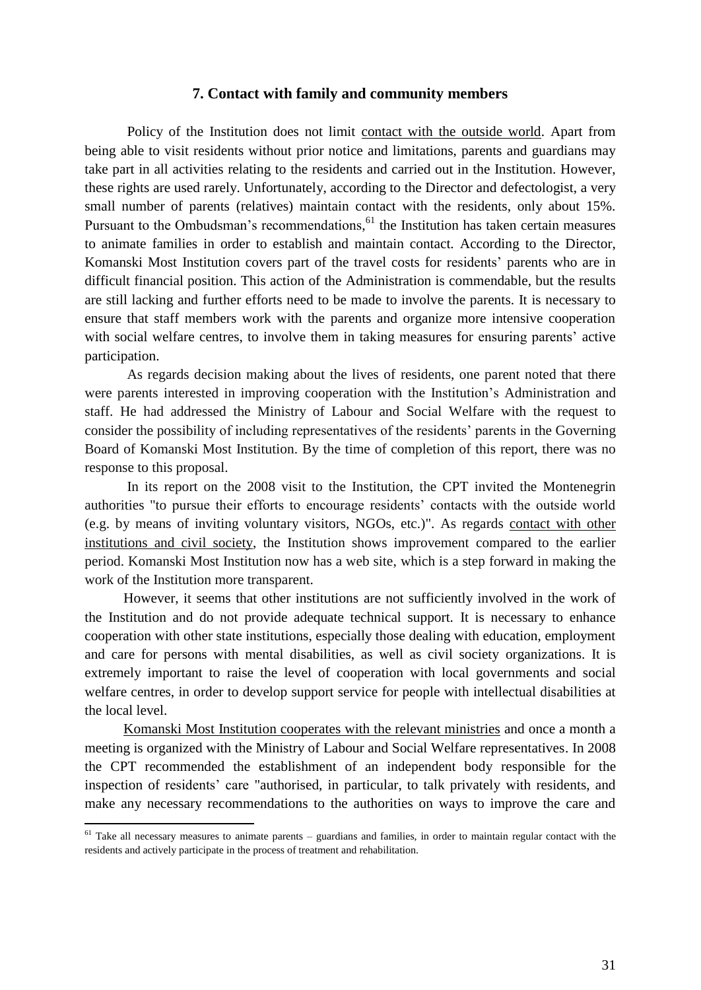#### **7. Contact with family and community members**

Policy of the Institution does not limit contact with the outside world. Apart from being able to visit residents without prior notice and limitations, parents and guardians may take part in all activities relating to the residents and carried out in the Institution. However, these rights are used rarely. Unfortunately, according to the Director and defectologist, a very small number of parents (relatives) maintain contact with the residents, only about 15%. Pursuant to the Ombudsman's recommendations,<sup>61</sup> the Institution has taken certain measures to animate families in order to establish and maintain contact. According to the Director, Komanski Most Institution covers part of the travel costs for residents' parents who are in difficult financial position. This action of the Administration is commendable, but the results are still lacking and further efforts need to be made to involve the parents. It is necessary to ensure that staff members work with the parents and organize more intensive cooperation with social welfare centres, to involve them in taking measures for ensuring parents' active participation.

As regards decision making about the lives of residents, one parent noted that there were parents interested in improving cooperation with the Institution's Administration and staff. He had addressed the Ministry of Labour and Social Welfare with the request to consider the possibility of including representatives of the residents' parents in the Governing Board of Komanski Most Institution. By the time of completion of this report, there was no response to this proposal.

In its report on the 2008 visit to the Institution, the CPT invited the Montenegrin authorities "to pursue their efforts to encourage residents' contacts with the outside world (e.g. by means of inviting voluntary visitors, NGOs, etc.)". As regards contact with other institutions and civil society, the Institution shows improvement compared to the earlier period. Komanski Most Institution now has a web site, which is a step forward in making the work of the Institution more transparent.

However, it seems that other institutions are not sufficiently involved in the work of the Institution and do not provide adequate technical support. It is necessary to enhance cooperation with other state institutions, especially those dealing with education, employment and care for persons with mental disabilities, as well as civil society organizations. It is extremely important to raise the level of cooperation with local governments and social welfare centres, in order to develop support service for people with intellectual disabilities at the local level.

Komanski Most Institution cooperates with the relevant ministries and once a month a meeting is organized with the Ministry of Labour and Social Welfare representatives. In 2008 the CPT recommended the establishment of an independent body responsible for the inspection of residents' care "authorised, in particular, to talk privately with residents, and make any necessary recommendations to the authorities on ways to improve the care and

 $61$  Take all necessary measures to animate parents – guardians and families, in order to maintain regular contact with the residents and actively participate in the process of treatment and rehabilitation.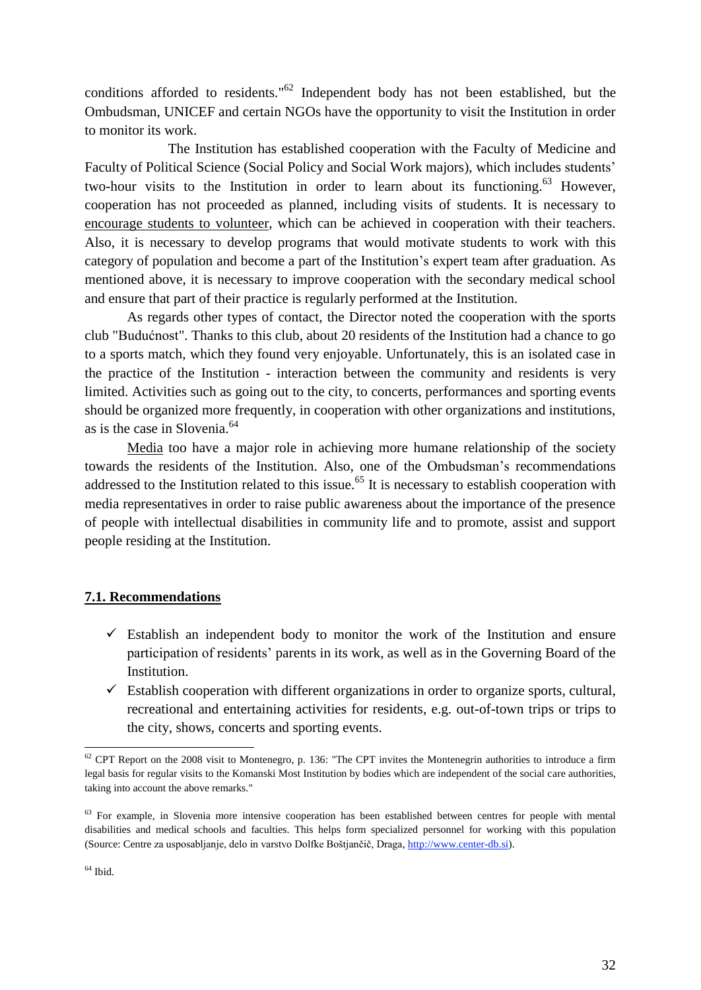conditions afforded to residents."<sup>62</sup> Independent body has not been established, but the Ombudsman, UNICEF and certain NGOs have the opportunity to visit the Institution in order to monitor its work.

The Institution has established cooperation with the Faculty of Medicine and Faculty of Political Science (Social Policy and Social Work majors), which includes students' two-hour visits to the Institution in order to learn about its functioning.<sup>63</sup> However, cooperation has not proceeded as planned, including visits of students. It is necessary to encourage students to volunteer, which can be achieved in cooperation with their teachers. Also, it is necessary to develop programs that would motivate students to work with this category of population and become a part of the Institution's expert team after graduation. As mentioned above, it is necessary to improve cooperation with the secondary medical school and ensure that part of their practice is regularly performed at the Institution.

As regards other types of contact, the Director noted the cooperation with the sports club "Budućnost". Thanks to this club, about 20 residents of the Institution had a chance to go to a sports match, which they found very enjoyable. Unfortunately, this is an isolated case in the practice of the Institution - interaction between the community and residents is very limited. Activities such as going out to the city, to concerts, performances and sporting events should be organized more frequently, in cooperation with other organizations and institutions, as is the case in Slovenia.<sup>64</sup>

Media too have a major role in achieving more humane relationship of the society towards the residents of the Institution. Also, one of the Ombudsman's recommendations addressed to the Institution related to this issue.<sup>65</sup> It is necessary to establish cooperation with media representatives in order to raise public awareness about the importance of the presence of people with intellectual disabilities in community life and to promote, assist and support people residing at the Institution.

#### **7.1. Recommendations**

- $\checkmark$  Establish an independent body to monitor the work of the Institution and ensure participation of residents' parents in its work, as well as in the Governing Board of the Institution.
- $\checkmark$  Establish cooperation with different organizations in order to organize sports, cultural, recreational and entertaining activities for residents, e.g. out-of-town trips or trips to the city, shows, concerts and sporting events.

 $62$  CPT Report on the 2008 visit to Montenegro, p. 136: "The CPT invites the Montenegrin authorities to introduce a firm legal basis for regular visits to the Komanski Most Institution by bodies which are independent of the social care authorities, taking into account the above remarks."

<sup>&</sup>lt;sup>63</sup> For example, in Slovenia more intensive cooperation has been established between centres for people with mental disabilities and medical schools and faculties. This helps form specialized personnel for working with this population (Source: Centre za usposabljanje, delo in varstvo Dolfke Boštjančič, Draga, [http://www.center-db.si\)](http://www.center-db.si/).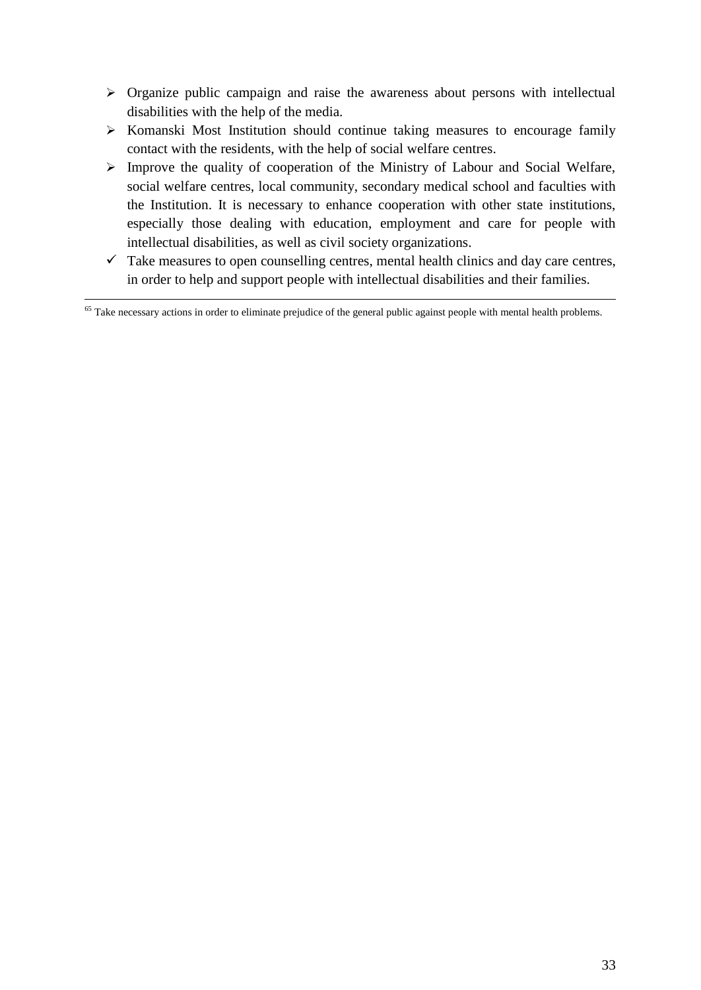- $\triangleright$  Organize public campaign and raise the awareness about persons with intellectual disabilities with the help of the media.
- $\triangleright$  Komanski Most Institution should continue taking measures to encourage family contact with the residents, with the help of social welfare centres.
- $\triangleright$  Improve the quality of cooperation of the Ministry of Labour and Social Welfare, social welfare centres, local community, secondary medical school and faculties with the Institution. It is necessary to enhance cooperation with other state institutions, especially those dealing with education, employment and care for people with intellectual disabilities, as well as civil society organizations.
- $\checkmark$  Take measures to open counselling centres, mental health clinics and day care centres, in order to help and support people with intellectual disabilities and their families.

1  $65$  Take necessary actions in order to eliminate prejudice of the general public against people with mental health problems.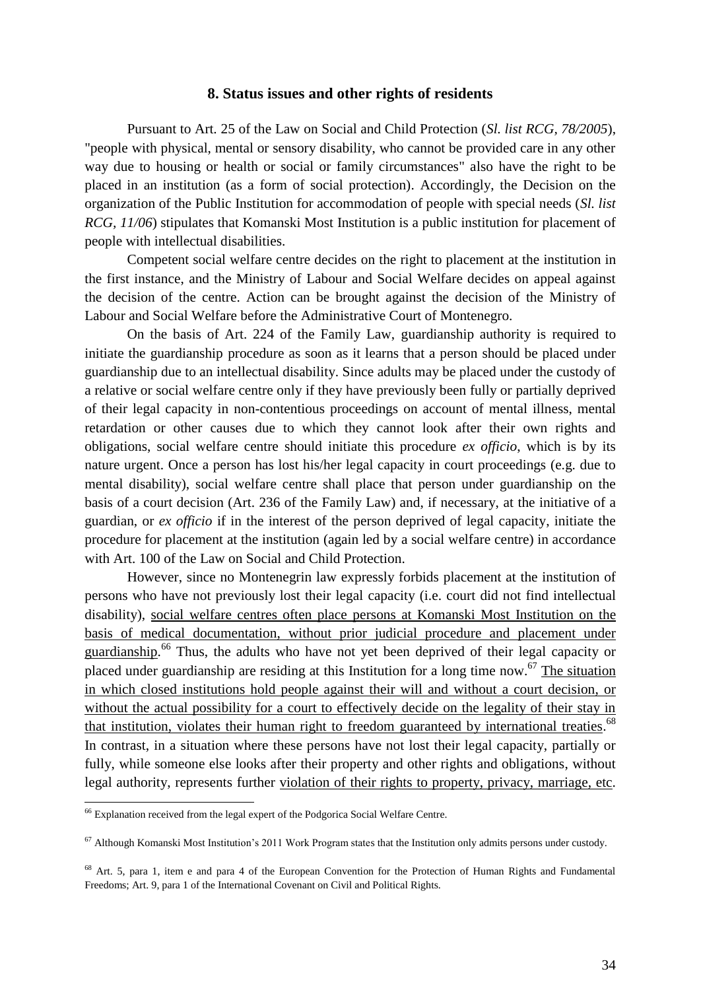#### **8. Status issues and other rights of residents**

Pursuant to Art. 25 of the Law on Social and Child Protection (*Sl. list RCG, 78/2005*), "people with physical, mental or sensory disability, who cannot be provided care in any other way due to housing or health or social or family circumstances" also have the right to be placed in an institution (as a form of social protection). Accordingly, the Decision on the organization of the Public Institution for accommodation of people with special needs (*Sl. list RCG, 11/06*) stipulates that Komanski Most Institution is a public institution for placement of people with intellectual disabilities.

Competent social welfare centre decides on the right to placement at the institution in the first instance, and the Ministry of Labour and Social Welfare decides on appeal against the decision of the centre. Action can be brought against the decision of the Ministry of Labour and Social Welfare before the Administrative Court of Montenegro.

On the basis of Art. 224 of the Family Law, guardianship authority is required to initiate the guardianship procedure as soon as it learns that a person should be placed under guardianship due to an intellectual disability. Since adults may be placed under the custody of a relative or social welfare centre only if they have previously been fully or partially deprived of their legal capacity in non-contentious proceedings on account of mental illness, mental retardation or other causes due to which they cannot look after their own rights and obligations, social welfare centre should initiate this procedure *ex officio*, which is by its nature urgent. Once a person has lost his/her legal capacity in court proceedings (e.g. due to mental disability), social welfare centre shall place that person under guardianship on the basis of a court decision (Art. 236 of the Family Law) and, if necessary, at the initiative of a guardian, or *ex officio* if in the interest of the person deprived of legal capacity, initiate the procedure for placement at the institution (again led by a social welfare centre) in accordance with Art. 100 of the Law on Social and Child Protection.

However, since no Montenegrin law expressly forbids placement at the institution of persons who have not previously lost their legal capacity (i.e. court did not find intellectual disability), social welfare centres often place persons at Komanski Most Institution on the basis of medical documentation, without prior judicial procedure and placement under guardianship.<sup>66</sup> Thus, the adults who have not yet been deprived of their legal capacity or placed under guardianship are residing at this Institution for a long time now.<sup>67</sup> The situation in which closed institutions hold people against their will and without a court decision, or without the actual possibility for a court to effectively decide on the legality of their stay in that institution, violates their human right to freedom guaranteed by international treaties.<sup>68</sup> In contrast, in a situation where these persons have not lost their legal capacity, partially or fully, while someone else looks after their property and other rights and obligations, without legal authority, represents further violation of their rights to property, privacy, marriage, etc.

 $66$  Explanation received from the legal expert of the Podgorica Social Welfare Centre.

 $67$  Although Komanski Most Institution's 2011 Work Program states that the Institution only admits persons under custody.

<sup>&</sup>lt;sup>68</sup> Art. 5, para 1, item e and para 4 of the European Convention for the Protection of Human Rights and Fundamental Freedoms; Art. 9, para 1 of the International Covenant on Civil and Political Rights.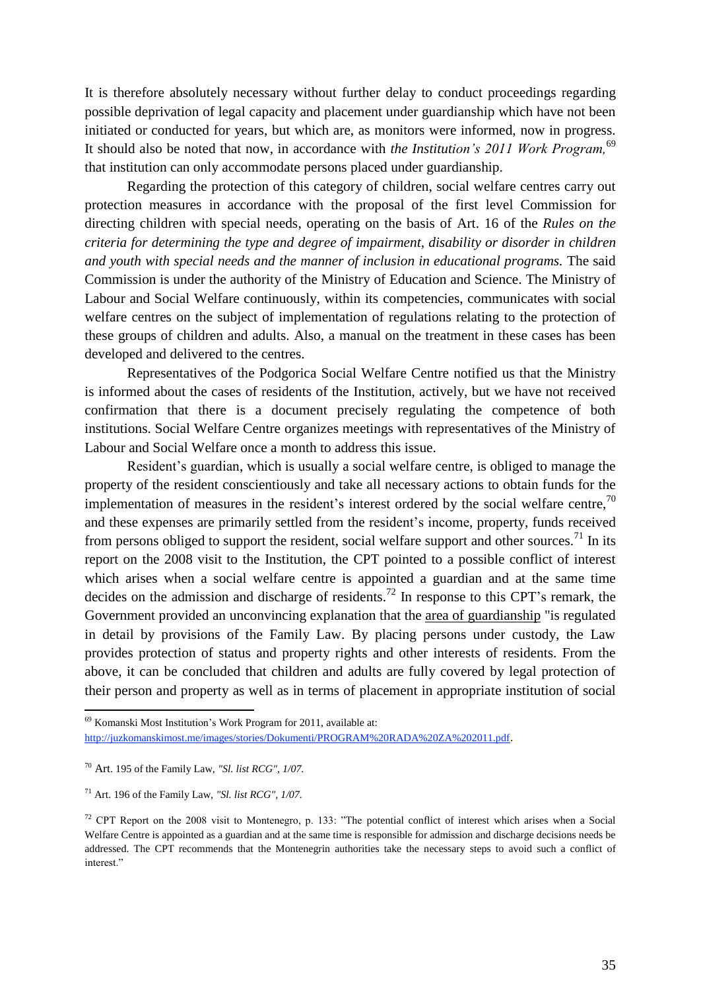It is therefore absolutely necessary without further delay to conduct proceedings regarding possible deprivation of legal capacity and placement under guardianship which have not been initiated or conducted for years, but which are, as monitors were informed, now in progress. It should also be noted that now, in accordance with *the Institution's 2011 Work Program,*<sup>69</sup> that institution can only accommodate persons placed under guardianship.

Regarding the protection of this category of children, social welfare centres carry out protection measures in accordance with the proposal of the first level Commission for directing children with special needs, operating on the basis of Art. 16 of the *Rules on the criteria for determining the type and degree of impairment, disability or disorder in children and youth with special needs and the manner of inclusion in educational programs.* The said Commission is under the authority of the Ministry of Education and Science. The Ministry of Labour and Social Welfare continuously, within its competencies, communicates with social welfare centres on the subject of implementation of regulations relating to the protection of these groups of children and adults. Also, a manual on the treatment in these cases has been developed and delivered to the centres.

Representatives of the Podgorica Social Welfare Centre notified us that the Ministry is informed about the cases of residents of the Institution, actively, but we have not received confirmation that there is a document precisely regulating the competence of both institutions. Social Welfare Centre organizes meetings with representatives of the Ministry of Labour and Social Welfare once a month to address this issue.

Resident's guardian, which is usually a social welfare centre, is obliged to manage the property of the resident conscientiously and take all necessary actions to obtain funds for the implementation of measures in the resident's interest ordered by the social welfare centre,<sup>70</sup> and these expenses are primarily settled from the resident's income, property, funds received from persons obliged to support the resident, social welfare support and other sources.<sup>71</sup> In its report on the 2008 visit to the Institution, the CPT pointed to a possible conflict of interest which arises when a social welfare centre is appointed a guardian and at the same time decides on the admission and discharge of residents.<sup>72</sup> In response to this CPT's remark, the Government provided an unconvincing explanation that the area of guardianship "is regulated in detail by provisions of the Family Law. By placing persons under custody, the Law provides protection of status and property rights and other interests of residents. From the above, it can be concluded that children and adults are fully covered by legal protection of their person and property as well as in terms of placement in appropriate institution of social

<sup>69</sup> Komanski Most Institution's Work Program for 2011, available at: [http://juzkomanskimost.me/images/stories/Dokumenti/PROGRAM%20RADA%20ZA%202011.pdf](http://livepage.apple.com/).

<sup>70</sup> Art. 195 of the Family Law, *"Sl. list RCG", 1/07.*

<sup>71</sup> Art. 196 of the Family Law, *"Sl. list RCG", 1/07.*

<sup>72</sup> CPT Report on the 2008 visit to Montenegro, p. 133: "The potential conflict of interest which arises when a Social Welfare Centre is appointed as a guardian and at the same time is responsible for admission and discharge decisions needs be addressed. The CPT recommends that the Montenegrin authorities take the necessary steps to avoid such a conflict of interest."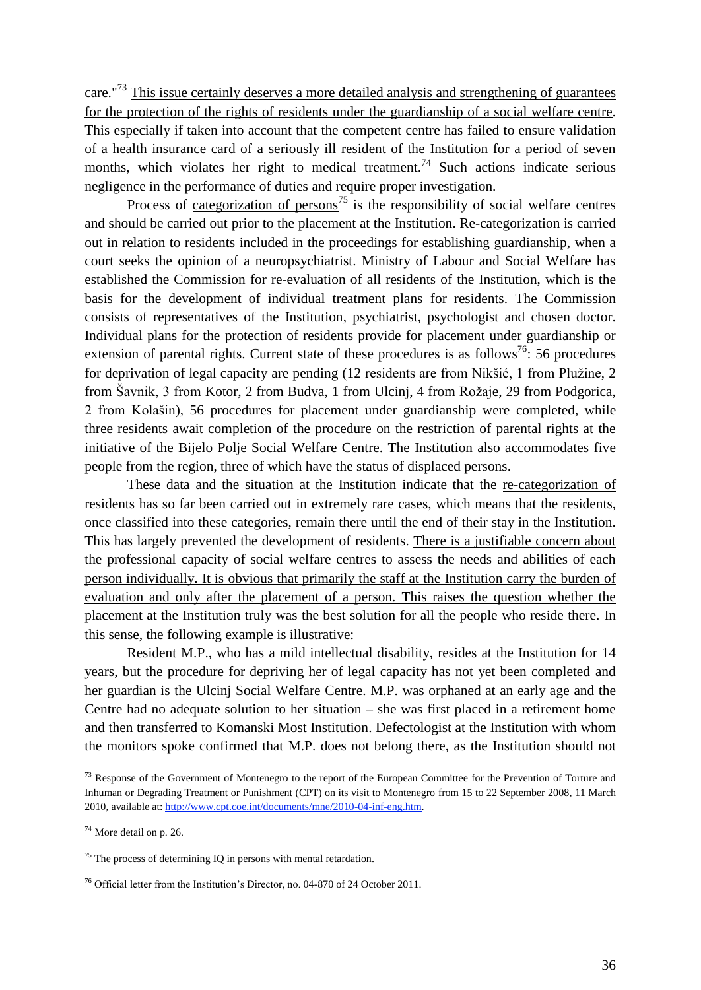care."<sup>73</sup> This issue certainly deserves a more detailed analysis and strengthening of guarantees for the protection of the rights of residents under the guardianship of a social welfare centre. This especially if taken into account that the competent centre has failed to ensure validation of a health insurance card of a seriously ill resident of the Institution for a period of seven months, which violates her right to medical treatment.<sup>74</sup> Such actions indicate serious negligence in the performance of duties and require proper investigation.

Process of categorization of persons<sup>75</sup> is the responsibility of social welfare centres and should be carried out prior to the placement at the Institution. Re-categorization is carried out in relation to residents included in the proceedings for establishing guardianship, when a court seeks the opinion of a neuropsychiatrist. Ministry of Labour and Social Welfare has established the Commission for re-evaluation of all residents of the Institution, which is the basis for the development of individual treatment plans for residents. The Commission consists of representatives of the Institution, psychiatrist, psychologist and chosen doctor. Individual plans for the protection of residents provide for placement under guardianship or extension of parental rights. Current state of these procedures is as follows<sup>76</sup>: 56 procedures for deprivation of legal capacity are pending (12 residents are from Nikšić, 1 from Plužine, 2 from Šavnik, 3 from Kotor, 2 from Budva, 1 from Ulcinj, 4 from Rožaje, 29 from Podgorica, 2 from Kolašin), 56 procedures for placement under guardianship were completed, while three residents await completion of the procedure on the restriction of parental rights at the initiative of the Bijelo Polje Social Welfare Centre. The Institution also accommodates five people from the region, three of which have the status of displaced persons.

These data and the situation at the Institution indicate that the re-categorization of residents has so far been carried out in extremely rare cases, which means that the residents, once classified into these categories, remain there until the end of their stay in the Institution. This has largely prevented the development of residents. There is a justifiable concern about the professional capacity of social welfare centres to assess the needs and abilities of each person individually. It is obvious that primarily the staff at the Institution carry the burden of evaluation and only after the placement of a person. This raises the question whether the placement at the Institution truly was the best solution for all the people who reside there. In this sense, the following example is illustrative:

Resident M.P., who has a mild intellectual disability, resides at the Institution for 14 years, but the procedure for depriving her of legal capacity has not yet been completed and her guardian is the Ulcinj Social Welfare Centre. M.P. was orphaned at an early age and the Centre had no adequate solution to her situation – she was first placed in a retirement home and then transferred to Komanski Most Institution. Defectologist at the Institution with whom the monitors spoke confirmed that M.P. does not belong there, as the Institution should not

<sup>&</sup>lt;sup>73</sup> Response of the Government of Montenegro to the report of the European Committee for the Prevention of Torture and Inhuman or Degrading Treatment or Punishment (CPT) on its visit to Montenegro from 15 to 22 September 2008, 11 March 2010, available at[: http://www.cpt.coe.int/documents/mne/2010-04-inf-eng.htm.](http://www.cpt.coe.int/documents/mne/2010-04-inf-eng.htm) 

 $74$  More detail on p. 26.

 $<sup>75</sup>$  The process of determining IQ in persons with mental retardation.</sup>

<sup>76</sup> Official letter from the Institution's Director, no. 04-870 of 24 October 2011.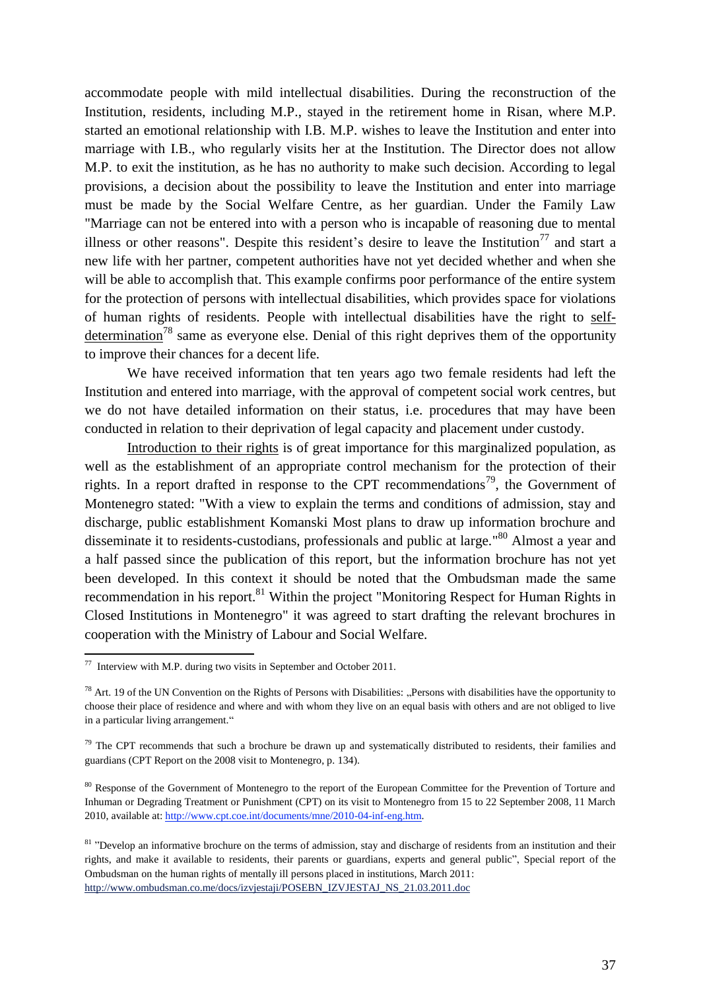accommodate people with mild intellectual disabilities. During the reconstruction of the Institution, residents, including M.P., stayed in the retirement home in Risan, where M.P. started an emotional relationship with I.B. M.P. wishes to leave the Institution and enter into marriage with I.B., who regularly visits her at the Institution. The Director does not allow M.P. to exit the institution, as he has no authority to make such decision. According to legal provisions, a decision about the possibility to leave the Institution and enter into marriage must be made by the Social Welfare Centre, as her guardian. Under the Family Law "Marriage can not be entered into with a person who is incapable of reasoning due to mental illness or other reasons". Despite this resident's desire to leave the Institution<sup>77</sup> and start a new life with her partner, competent authorities have not yet decided whether and when she will be able to accomplish that. This example confirms poor performance of the entire system for the protection of persons with intellectual disabilities, which provides space for violations of human rights of residents. People with intellectual disabilities have the right to selfdetermination<sup>78</sup> same as everyone else. Denial of this right deprives them of the opportunity to improve their chances for a decent life.

We have received information that ten years ago two female residents had left the Institution and entered into marriage, with the approval of competent social work centres, but we do not have detailed information on their status, i.e. procedures that may have been conducted in relation to their deprivation of legal capacity and placement under custody.

Introduction to their rights is of great importance for this marginalized population, as well as the establishment of an appropriate control mechanism for the protection of their rights. In a report drafted in response to the CPT recommendations<sup>79</sup>, the Government of Montenegro stated: "With a view to explain the terms and conditions of admission, stay and discharge, public establishment Komanski Most plans to draw up information brochure and disseminate it to residents-custodians, professionals and public at large."<sup>80</sup> Almost a year and a half passed since the publication of this report, but the information brochure has not yet been developed. In this context it should be noted that the Ombudsman made the same recommendation in his report.<sup>81</sup> Within the project "Monitoring Respect for Human Rights in Closed Institutions in Montenegro" it was agreed to start drafting the relevant brochures in cooperation with the Ministry of Labour and Social Welfare.

 $\frac{1}{77}$  Interview with M.P. during two visits in September and October 2011.

 $78$  Art. 19 of the UN Convention on the Rights of Persons with Disabilities: "Persons with disabilities have the opportunity to choose their place of residence and where and with whom they live on an equal basis with others and are not obliged to live in a particular living arrangement."

<sup>&</sup>lt;sup>79</sup> The CPT recommends that such a brochure be drawn up and systematically distributed to residents, their families and guardians (CPT Report on the 2008 visit to Montenegro, p. 134).

<sup>&</sup>lt;sup>80</sup> Response of the Government of Montenegro to the report of the European Committee for the Prevention of Torture and Inhuman or Degrading Treatment or Punishment (CPT) on its visit to Montenegro from 15 to 22 September 2008, 11 March 2010, available at[: http://www.cpt.coe.int/documents/mne/2010-04-inf-eng.htm.](http://www.cpt.coe.int/documents/mne/2010-04-inf-eng.htm)

<sup>&</sup>lt;sup>81</sup> "Develop an informative brochure on the terms of admission, stay and discharge of residents from an institution and their rights, and make it available to residents, their parents or guardians, experts and general public", Special report of the Ombudsman on the human rights of mentally ill persons placed in institutions, March 2011: [http://www.ombudsman.co.me/docs/izvjestaji/POSEBN\\_IZVJESTAJ\\_NS\\_21.03.2011.doc](http://www.ombudsman.co.me/docs/izvjestaji/POSEBN_IZVJESTAJ_NS_21.03.2011.doc)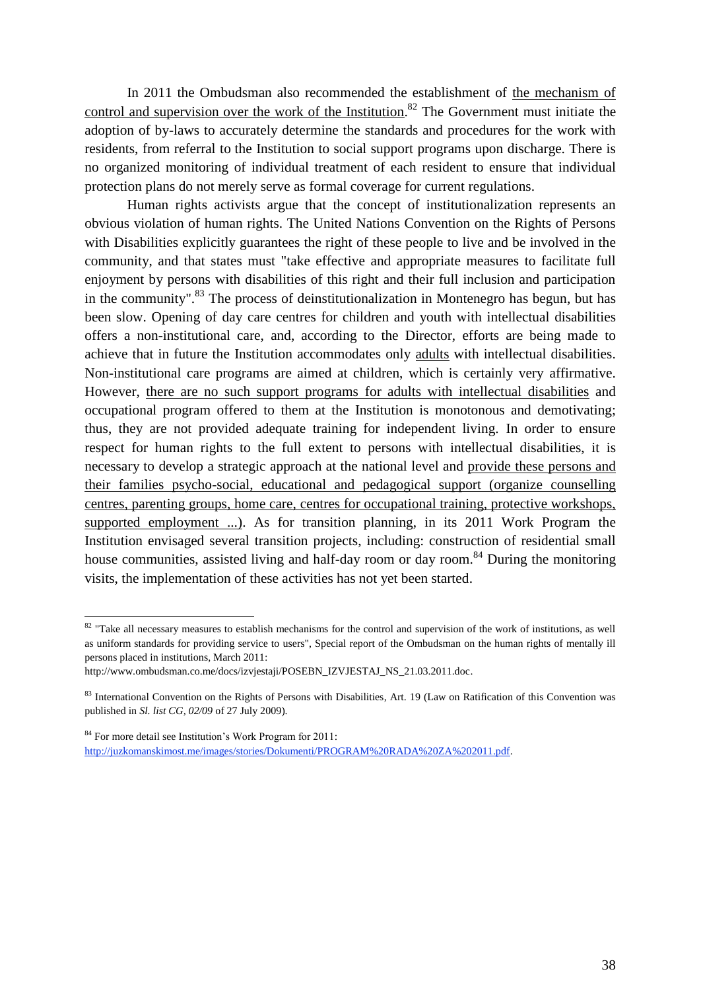In 2011 the Ombudsman also recommended the establishment of the mechanism of control and supervision over the work of the Institution.<sup>82</sup> The Government must initiate the adoption of by-laws to accurately determine the standards and procedures for the work with residents, from referral to the Institution to social support programs upon discharge. There is no organized monitoring of individual treatment of each resident to ensure that individual protection plans do not merely serve as formal coverage for current regulations.

Human rights activists argue that the concept of institutionalization represents an obvious violation of human rights. The United Nations Convention on the Rights of Persons with Disabilities explicitly guarantees the right of these people to live and be involved in the community, and that states must "take effective and appropriate measures to facilitate full enjoyment by persons with disabilities of this right and their full inclusion and participation in the community".<sup>83</sup> The process of deinstitutionalization in Montenegro has begun, but has been slow. Opening of day care centres for children and youth with intellectual disabilities offers a non-institutional care, and, according to the Director, efforts are being made to achieve that in future the Institution accommodates only adults with intellectual disabilities. Non-institutional care programs are aimed at children, which is certainly very affirmative. However, there are no such support programs for adults with intellectual disabilities and occupational program offered to them at the Institution is monotonous and demotivating; thus, they are not provided adequate training for independent living. In order to ensure respect for human rights to the full extent to persons with intellectual disabilities, it is necessary to develop a strategic approach at the national level and provide these persons and their families psycho-social, educational and pedagogical support (organize counselling centres, parenting groups, home care, centres for occupational training, protective workshops, supported employment ...). As for transition planning, in its 2011 Work Program the Institution envisaged several transition projects, including: construction of residential small house communities, assisted living and half-day room or day room.<sup>84</sup> During the monitoring visits, the implementation of these activities has not yet been started.

 $82$  "Take all necessary measures to establish mechanisms for the control and supervision of the work of institutions, as well as uniform standards for providing service to users", Special report of the Ombudsman on the human rights of mentally ill persons placed in institutions, March 2011:

http://www.ombudsman.co.me/docs/izvjestaji/POSEBN\_IZVJESTAJ\_NS\_21.03.2011.doc.

<sup>83</sup> International Convention on the Rights of Persons with Disabilities, Art. 19 (Law on Ratification of this Convention was published in *Sl. list CG, 02/09* of 27 July 2009).

<sup>84</sup> For more detail see Institution's Work Program for 2011: [http://juzkomanskimost.me/images/stories/Dokumenti/PROGRAM%20RADA%20ZA%202011.pdf.](http://livepage.apple.com/)